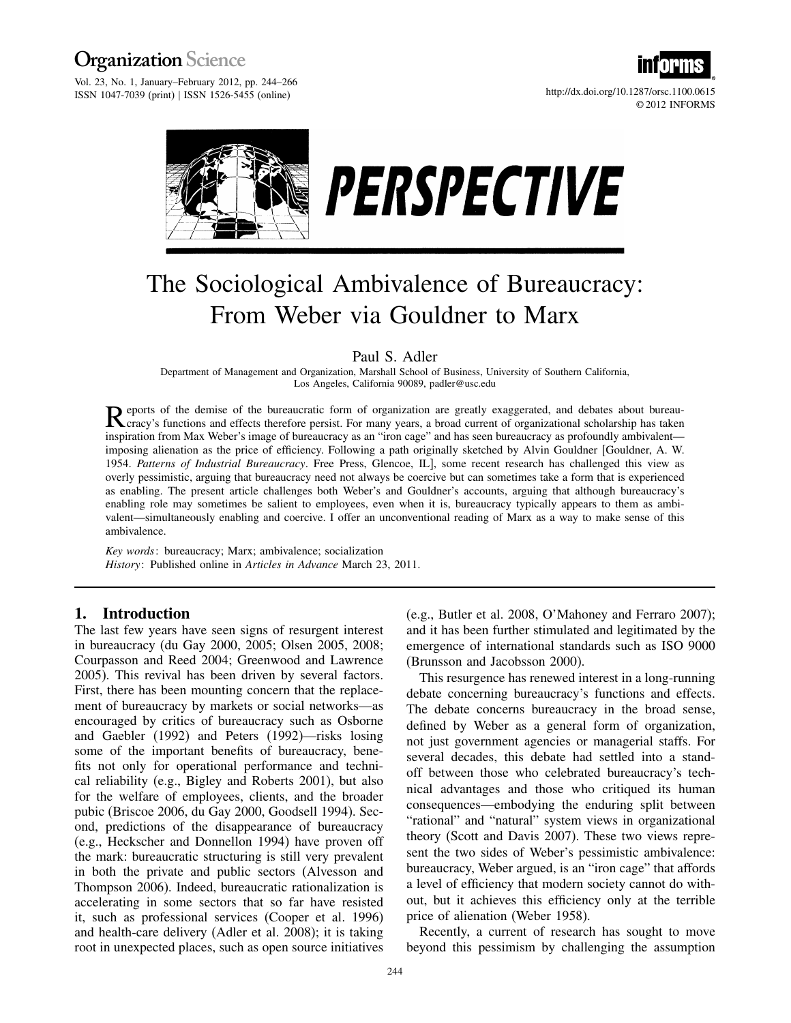**Property** 2012, pp. 244–266<br>Vol. 23, No. 1, January–February 2012, pp. 244–266 ISSN 1047-7039 (print) | ISSN 1526-5455 (online) http://dx.doi.org/10.1287/orsc.1100.0615





**PERSPECTIVE** 

# The Sociological Ambivalence of Bureaucracy: From Weber via Gouldner to Marx

Paul S. Adler

Department of Management and Organization, Marshall School of Business, University of Southern California, Los Angeles, California 90089, padler@usc.edu

Reports of the demise of the bureaucratic form of organization are greatly exaggerated, and debates about bureau-<br>Recracy's functions and effects therefore persist. For many years, a broad current of organizational scholar cracy's functions and effects therefore persist. For many years, a broad current of organizational scholarship has taken inspiration from Max Weber's image of bureaucracy as an "iron cage" and has seen bureaucracy as profoundly ambivalent imposing alienation as the price of efficiency. Following a path originally sketched by Alvin Gouldner [Gouldner, A. W. 1954. Patterns of Industrial Bureaucracy. Free Press, Glencoe, IL], some recent research has challenged this view as overly pessimistic, arguing that bureaucracy need not always be coercive but can sometimes take a form that is experienced as enabling. The present article challenges both Weber's and Gouldner's accounts, arguing that although bureaucracy's enabling role may sometimes be salient to employees, even when it is, bureaucracy typically appears to them as ambivalent—simultaneously enabling and coercive. I offer an unconventional reading of Marx as a way to make sense of this ambivalence.

Key words: bureaucracy; Marx; ambivalence; socialization History: Published online in Articles in Advance March 23, 2011.

# 1. Introduction

The last few years have seen signs of resurgent interest in bureaucracy (du Gay 2000, 2005; Olsen 2005, 2008; Courpasson and Reed 2004; Greenwood and Lawrence 2005). This revival has been driven by several factors. First, there has been mounting concern that the replacement of bureaucracy by markets or social networks—as encouraged by critics of bureaucracy such as Osborne and Gaebler (1992) and Peters (1992)—risks losing some of the important benefits of bureaucracy, benefits not only for operational performance and technical reliability (e.g., Bigley and Roberts 2001), but also for the welfare of employees, clients, and the broader pubic (Briscoe 2006, du Gay 2000, Goodsell 1994). Second, predictions of the disappearance of bureaucracy (e.g., Heckscher and Donnellon 1994) have proven off the mark: bureaucratic structuring is still very prevalent in both the private and public sectors (Alvesson and Thompson 2006). Indeed, bureaucratic rationalization is accelerating in some sectors that so far have resisted it, such as professional services (Cooper et al. 1996) and health-care delivery (Adler et al. 2008); it is taking root in unexpected places, such as open source initiatives (e.g., Butler et al. 2008, O'Mahoney and Ferraro 2007); and it has been further stimulated and legitimated by the emergence of international standards such as ISO 9000 (Brunsson and Jacobsson 2000).

This resurgence has renewed interest in a long-running debate concerning bureaucracy's functions and effects. The debate concerns bureaucracy in the broad sense, defined by Weber as a general form of organization, not just government agencies or managerial staffs. For several decades, this debate had settled into a standoff between those who celebrated bureaucracy's technical advantages and those who critiqued its human consequences—embodying the enduring split between "rational" and "natural" system views in organizational theory (Scott and Davis 2007). These two views represent the two sides of Weber's pessimistic ambivalence: bureaucracy, Weber argued, is an "iron cage" that affords a level of efficiency that modern society cannot do without, but it achieves this efficiency only at the terrible price of alienation (Weber 1958).

Recently, a current of research has sought to move beyond this pessimism by challenging the assumption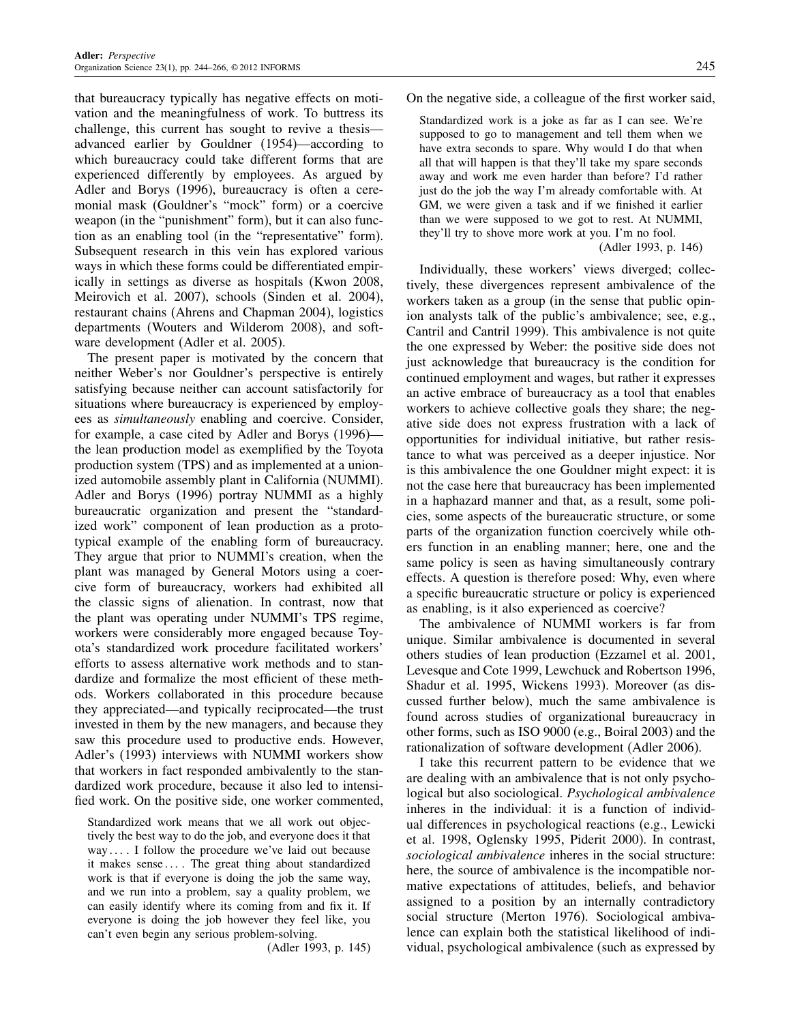that bureaucracy typically has negative effects on motivation and the meaningfulness of work. To buttress its challenge, this current has sought to revive a thesis advanced earlier by Gouldner (1954)—according to which bureaucracy could take different forms that are experienced differently by employees. As argued by Adler and Borys (1996), bureaucracy is often a ceremonial mask (Gouldner's "mock" form) or a coercive weapon (in the "punishment" form), but it can also function as an enabling tool (in the "representative" form). Subsequent research in this vein has explored various ways in which these forms could be differentiated empirically in settings as diverse as hospitals (Kwon 2008, Meirovich et al. 2007), schools (Sinden et al. 2004), restaurant chains (Ahrens and Chapman 2004), logistics departments (Wouters and Wilderom 2008), and software development (Adler et al. 2005).

The present paper is motivated by the concern that neither Weber's nor Gouldner's perspective is entirely satisfying because neither can account satisfactorily for situations where bureaucracy is experienced by employees as simultaneously enabling and coercive. Consider, for example, a case cited by Adler and Borys (1996) the lean production model as exemplified by the Toyota production system (TPS) and as implemented at a unionized automobile assembly plant in California (NUMMI). Adler and Borys (1996) portray NUMMI as a highly bureaucratic organization and present the "standardized work" component of lean production as a prototypical example of the enabling form of bureaucracy. They argue that prior to NUMMI's creation, when the plant was managed by General Motors using a coercive form of bureaucracy, workers had exhibited all the classic signs of alienation. In contrast, now that the plant was operating under NUMMI's TPS regime, workers were considerably more engaged because Toyota's standardized work procedure facilitated workers' efforts to assess alternative work methods and to standardize and formalize the most efficient of these methods. Workers collaborated in this procedure because they appreciated—and typically reciprocated—the trust invested in them by the new managers, and because they saw this procedure used to productive ends. However, Adler's (1993) interviews with NUMMI workers show that workers in fact responded ambivalently to the standardized work procedure, because it also led to intensified work. On the positive side, one worker commented,

Standardized work means that we all work out objectively the best way to do the job, and everyone does it that way ... . I follow the procedure we've laid out because it makes sense ... The great thing about standardized work is that if everyone is doing the job the same way, and we run into a problem, say a quality problem, we can easily identify where its coming from and fix it. If everyone is doing the job however they feel like, you can't even begin any serious problem-solving.

(Adler 1993, p. 145)

On the negative side, a colleague of the first worker said,

Standardized work is a joke as far as I can see. We're supposed to go to management and tell them when we have extra seconds to spare. Why would I do that when all that will happen is that they'll take my spare seconds away and work me even harder than before? I'd rather just do the job the way I'm already comfortable with. At GM, we were given a task and if we finished it earlier than we were supposed to we got to rest. At NUMMI, they'll try to shove more work at you. I'm no fool.

(Adler 1993, p. 146)

Individually, these workers' views diverged; collectively, these divergences represent ambivalence of the workers taken as a group (in the sense that public opinion analysts talk of the public's ambivalence; see, e.g., Cantril and Cantril 1999). This ambivalence is not quite the one expressed by Weber: the positive side does not just acknowledge that bureaucracy is the condition for continued employment and wages, but rather it expresses an active embrace of bureaucracy as a tool that enables workers to achieve collective goals they share; the negative side does not express frustration with a lack of opportunities for individual initiative, but rather resistance to what was perceived as a deeper injustice. Nor is this ambivalence the one Gouldner might expect: it is not the case here that bureaucracy has been implemented in a haphazard manner and that, as a result, some policies, some aspects of the bureaucratic structure, or some parts of the organization function coercively while others function in an enabling manner; here, one and the same policy is seen as having simultaneously contrary effects. A question is therefore posed: Why, even where a specific bureaucratic structure or policy is experienced as enabling, is it also experienced as coercive?

The ambivalence of NUMMI workers is far from unique. Similar ambivalence is documented in several others studies of lean production (Ezzamel et al. 2001, Levesque and Cote 1999, Lewchuck and Robertson 1996, Shadur et al. 1995, Wickens 1993). Moreover (as discussed further below), much the same ambivalence is found across studies of organizational bureaucracy in other forms, such as ISO 9000 (e.g., Boiral 2003) and the rationalization of software development (Adler 2006).

I take this recurrent pattern to be evidence that we are dealing with an ambivalence that is not only psychological but also sociological. Psychological ambivalence inheres in the individual: it is a function of individual differences in psychological reactions (e.g., Lewicki et al. 1998, Oglensky 1995, Piderit 2000). In contrast, sociological ambivalence inheres in the social structure: here, the source of ambivalence is the incompatible normative expectations of attitudes, beliefs, and behavior assigned to a position by an internally contradictory social structure (Merton 1976). Sociological ambivalence can explain both the statistical likelihood of individual, psychological ambivalence (such as expressed by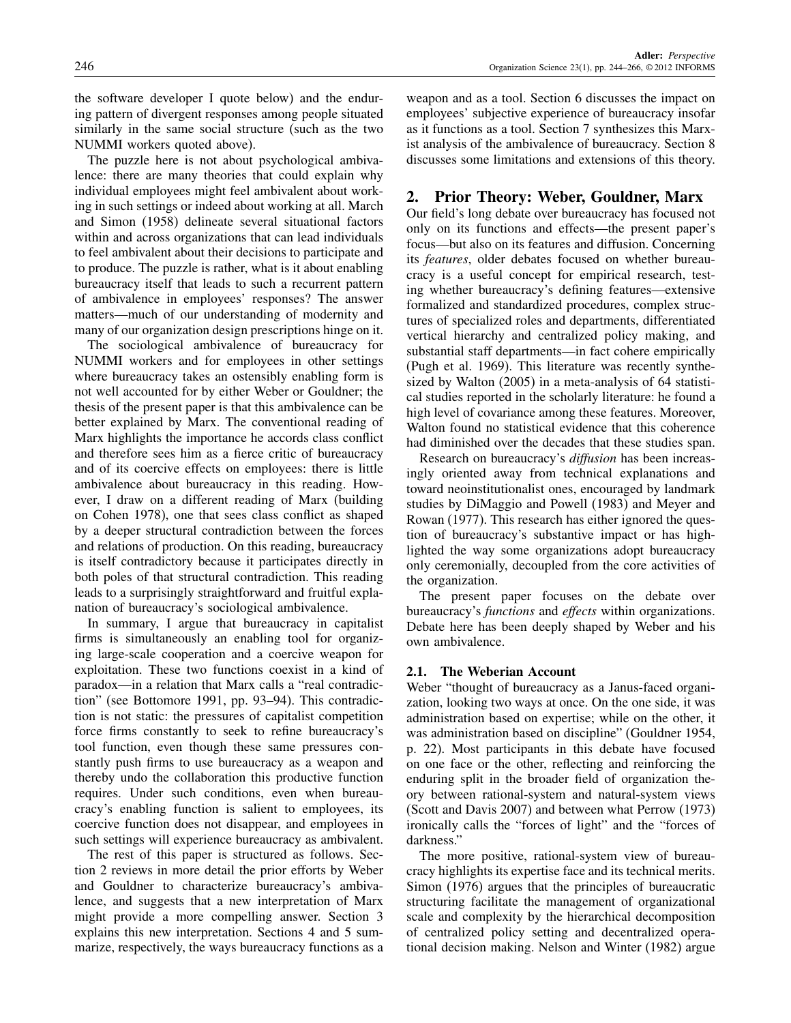NUMMI workers quoted above). The puzzle here is not about psychological ambivalence: there are many theories that could explain why individual employees might feel ambivalent about working in such settings or indeed about working at all. March and Simon (1958) delineate several situational factors within and across organizations that can lead individuals to feel ambivalent about their decisions to participate and to produce. The puzzle is rather, what is it about enabling bureaucracy itself that leads to such a recurrent pattern of ambivalence in employees' responses? The answer matters—much of our understanding of modernity and many of our organization design prescriptions hinge on it.

similarly in the same social structure (such as the two

The sociological ambivalence of bureaucracy for NUMMI workers and for employees in other settings where bureaucracy takes an ostensibly enabling form is not well accounted for by either Weber or Gouldner; the thesis of the present paper is that this ambivalence can be better explained by Marx. The conventional reading of Marx highlights the importance he accords class conflict and therefore sees him as a fierce critic of bureaucracy and of its coercive effects on employees: there is little ambivalence about bureaucracy in this reading. However, I draw on a different reading of Marx (building on Cohen 1978), one that sees class conflict as shaped by a deeper structural contradiction between the forces and relations of production. On this reading, bureaucracy is itself contradictory because it participates directly in both poles of that structural contradiction. This reading leads to a surprisingly straightforward and fruitful explanation of bureaucracy's sociological ambivalence.

In summary, I argue that bureaucracy in capitalist firms is simultaneously an enabling tool for organizing large-scale cooperation and a coercive weapon for exploitation. These two functions coexist in a kind of paradox—in a relation that Marx calls a "real contradiction" (see Bottomore 1991, pp. 93–94). This contradiction is not static: the pressures of capitalist competition force firms constantly to seek to refine bureaucracy's tool function, even though these same pressures constantly push firms to use bureaucracy as a weapon and thereby undo the collaboration this productive function requires. Under such conditions, even when bureaucracy's enabling function is salient to employees, its coercive function does not disappear, and employees in such settings will experience bureaucracy as ambivalent.

The rest of this paper is structured as follows. Section 2 reviews in more detail the prior efforts by Weber and Gouldner to characterize bureaucracy's ambivalence, and suggests that a new interpretation of Marx might provide a more compelling answer. Section 3 explains this new interpretation. Sections 4 and 5 summarize, respectively, the ways bureaucracy functions as a weapon and as a tool. Section 6 discusses the impact on employees' subjective experience of bureaucracy insofar as it functions as a tool. Section 7 synthesizes this Marxist analysis of the ambivalence of bureaucracy. Section 8 discusses some limitations and extensions of this theory.

# 2. Prior Theory: Weber, Gouldner, Marx

Our field's long debate over bureaucracy has focused not only on its functions and effects—the present paper's focus—but also on its features and diffusion. Concerning its features, older debates focused on whether bureaucracy is a useful concept for empirical research, testing whether bureaucracy's defining features—extensive formalized and standardized procedures, complex structures of specialized roles and departments, differentiated vertical hierarchy and centralized policy making, and substantial staff departments—in fact cohere empirically (Pugh et al. 1969). This literature was recently synthesized by Walton (2005) in a meta-analysis of 64 statistical studies reported in the scholarly literature: he found a high level of covariance among these features. Moreover, Walton found no statistical evidence that this coherence had diminished over the decades that these studies span.

Research on bureaucracy's diffusion has been increasingly oriented away from technical explanations and toward neoinstitutionalist ones, encouraged by landmark studies by DiMaggio and Powell (1983) and Meyer and Rowan (1977). This research has either ignored the question of bureaucracy's substantive impact or has highlighted the way some organizations adopt bureaucracy only ceremonially, decoupled from the core activities of the organization.

The present paper focuses on the debate over bureaucracy's functions and effects within organizations. Debate here has been deeply shaped by Weber and his own ambivalence.

### 2.1. The Weberian Account

Weber "thought of bureaucracy as a Janus-faced organization, looking two ways at once. On the one side, it was administration based on expertise; while on the other, it was administration based on discipline" (Gouldner 1954, p. 22). Most participants in this debate have focused on one face or the other, reflecting and reinforcing the enduring split in the broader field of organization theory between rational-system and natural-system views (Scott and Davis 2007) and between what Perrow (1973) ironically calls the "forces of light" and the "forces of darkness."

The more positive, rational-system view of bureaucracy highlights its expertise face and its technical merits. Simon (1976) argues that the principles of bureaucratic structuring facilitate the management of organizational scale and complexity by the hierarchical decomposition of centralized policy setting and decentralized operational decision making. Nelson and Winter (1982) argue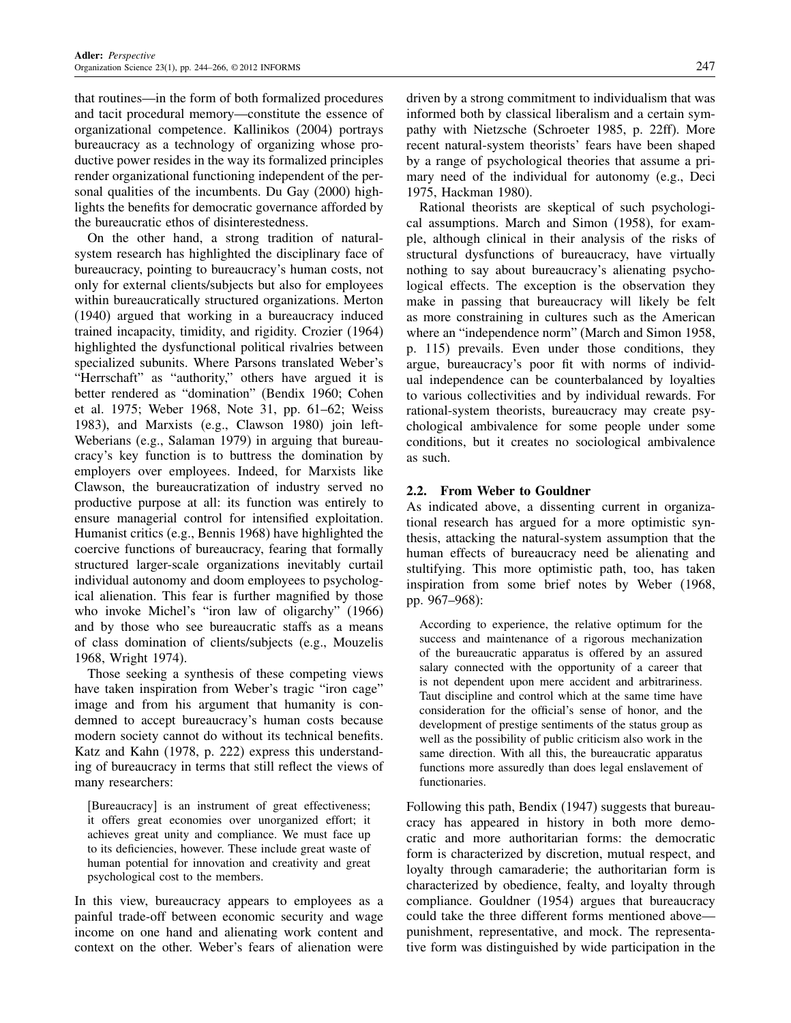that routines—in the form of both formalized procedures and tacit procedural memory—constitute the essence of organizational competence. Kallinikos (2004) portrays bureaucracy as a technology of organizing whose productive power resides in the way its formalized principles render organizational functioning independent of the personal qualities of the incumbents. Du Gay (2000) highlights the benefits for democratic governance afforded by the bureaucratic ethos of disinterestedness.

On the other hand, a strong tradition of naturalsystem research has highlighted the disciplinary face of bureaucracy, pointing to bureaucracy's human costs, not only for external clients/subjects but also for employees within bureaucratically structured organizations. Merton (1940) argued that working in a bureaucracy induced trained incapacity, timidity, and rigidity. Crozier (1964) highlighted the dysfunctional political rivalries between specialized subunits. Where Parsons translated Weber's "Herrschaft" as "authority," others have argued it is better rendered as "domination" (Bendix 1960; Cohen et al. 1975; Weber 1968, Note 31, pp. 61–62; Weiss 1983), and Marxists (e.g., Clawson 1980) join left-Weberians (e.g., Salaman 1979) in arguing that bureaucracy's key function is to buttress the domination by employers over employees. Indeed, for Marxists like Clawson, the bureaucratization of industry served no productive purpose at all: its function was entirely to ensure managerial control for intensified exploitation. Humanist critics (e.g., Bennis 1968) have highlighted the coercive functions of bureaucracy, fearing that formally structured larger-scale organizations inevitably curtail individual autonomy and doom employees to psychological alienation. This fear is further magnified by those who invoke Michel's "iron law of oligarchy" (1966) and by those who see bureaucratic staffs as a means of class domination of clients/subjects (e.g., Mouzelis 1968, Wright 1974).

Those seeking a synthesis of these competing views have taken inspiration from Weber's tragic "iron cage" image and from his argument that humanity is condemned to accept bureaucracy's human costs because modern society cannot do without its technical benefits. Katz and Kahn (1978, p. 222) express this understanding of bureaucracy in terms that still reflect the views of many researchers:

[Bureaucracy] is an instrument of great effectiveness; it offers great economies over unorganized effort; it achieves great unity and compliance. We must face up to its deficiencies, however. These include great waste of human potential for innovation and creativity and great psychological cost to the members.

In this view, bureaucracy appears to employees as a painful trade-off between economic security and wage income on one hand and alienating work content and context on the other. Weber's fears of alienation were driven by a strong commitment to individualism that was informed both by classical liberalism and a certain sympathy with Nietzsche (Schroeter 1985, p. 22ff). More recent natural-system theorists' fears have been shaped by a range of psychological theories that assume a primary need of the individual for autonomy (e.g., Deci 1975, Hackman 1980).

Rational theorists are skeptical of such psychological assumptions. March and Simon (1958), for example, although clinical in their analysis of the risks of structural dysfunctions of bureaucracy, have virtually nothing to say about bureaucracy's alienating psychological effects. The exception is the observation they make in passing that bureaucracy will likely be felt as more constraining in cultures such as the American where an "independence norm" (March and Simon 1958, p. 115) prevails. Even under those conditions, they argue, bureaucracy's poor fit with norms of individual independence can be counterbalanced by loyalties to various collectivities and by individual rewards. For rational-system theorists, bureaucracy may create psychological ambivalence for some people under some conditions, but it creates no sociological ambivalence as such.

### 2.2. From Weber to Gouldner

As indicated above, a dissenting current in organizational research has argued for a more optimistic synthesis, attacking the natural-system assumption that the human effects of bureaucracy need be alienating and stultifying. This more optimistic path, too, has taken inspiration from some brief notes by Weber (1968, pp. 967–968):

According to experience, the relative optimum for the success and maintenance of a rigorous mechanization of the bureaucratic apparatus is offered by an assured salary connected with the opportunity of a career that is not dependent upon mere accident and arbitrariness. Taut discipline and control which at the same time have consideration for the official's sense of honor, and the development of prestige sentiments of the status group as well as the possibility of public criticism also work in the same direction. With all this, the bureaucratic apparatus functions more assuredly than does legal enslavement of functionaries.

Following this path, Bendix (1947) suggests that bureaucracy has appeared in history in both more democratic and more authoritarian forms: the democratic form is characterized by discretion, mutual respect, and loyalty through camaraderie; the authoritarian form is characterized by obedience, fealty, and loyalty through compliance. Gouldner (1954) argues that bureaucracy could take the three different forms mentioned above punishment, representative, and mock. The representative form was distinguished by wide participation in the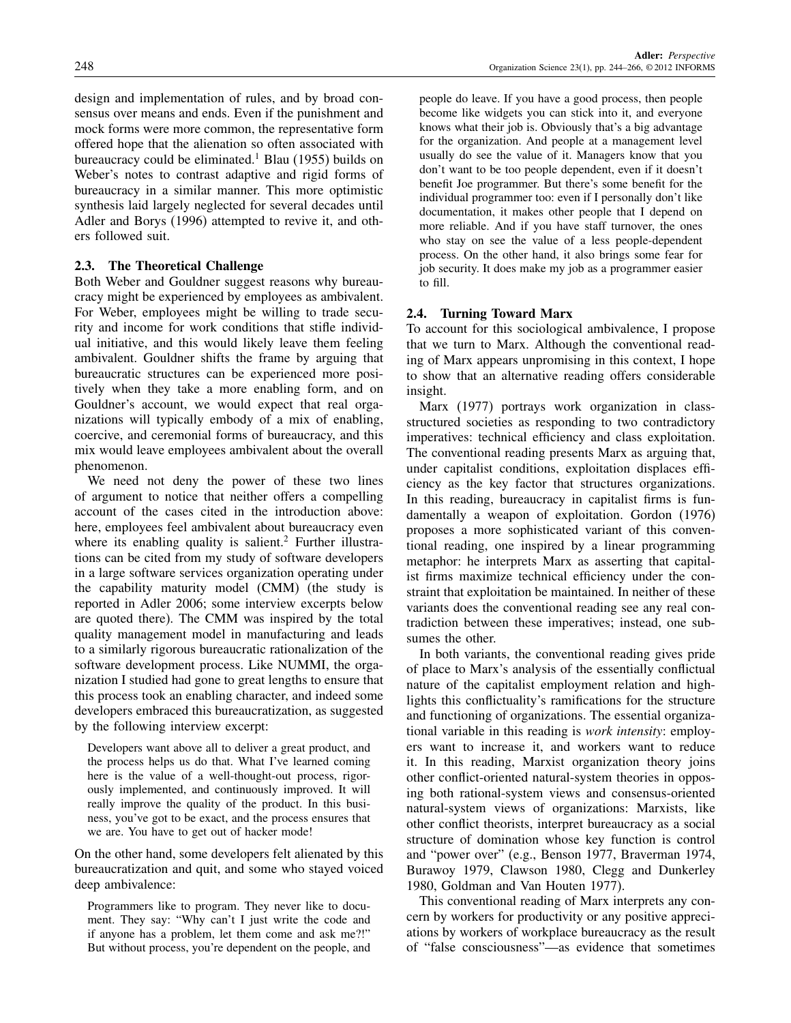design and implementation of rules, and by broad consensus over means and ends. Even if the punishment and mock forms were more common, the representative form offered hope that the alienation so often associated with bureaucracy could be eliminated.<sup>1</sup> Blau (1955) builds on Weber's notes to contrast adaptive and rigid forms of bureaucracy in a similar manner. This more optimistic synthesis laid largely neglected for several decades until Adler and Borys (1996) attempted to revive it, and others followed suit.

#### 2.3. The Theoretical Challenge

Both Weber and Gouldner suggest reasons why bureaucracy might be experienced by employees as ambivalent. For Weber, employees might be willing to trade security and income for work conditions that stifle individual initiative, and this would likely leave them feeling ambivalent. Gouldner shifts the frame by arguing that bureaucratic structures can be experienced more positively when they take a more enabling form, and on Gouldner's account, we would expect that real organizations will typically embody of a mix of enabling, coercive, and ceremonial forms of bureaucracy, and this mix would leave employees ambivalent about the overall phenomenon.

We need not deny the power of these two lines of argument to notice that neither offers a compelling account of the cases cited in the introduction above: here, employees feel ambivalent about bureaucracy even where its enabling quality is salient.<sup>2</sup> Further illustrations can be cited from my study of software developers in a large software services organization operating under the capability maturity model (CMM) (the study is reported in Adler 2006; some interview excerpts below are quoted there). The CMM was inspired by the total quality management model in manufacturing and leads to a similarly rigorous bureaucratic rationalization of the software development process. Like NUMMI, the organization I studied had gone to great lengths to ensure that this process took an enabling character, and indeed some developers embraced this bureaucratization, as suggested by the following interview excerpt:

Developers want above all to deliver a great product, and the process helps us do that. What I've learned coming here is the value of a well-thought-out process, rigorously implemented, and continuously improved. It will really improve the quality of the product. In this business, you've got to be exact, and the process ensures that we are. You have to get out of hacker mode!

On the other hand, some developers felt alienated by this bureaucratization and quit, and some who stayed voiced deep ambivalence:

Programmers like to program. They never like to document. They say: "Why can't I just write the code and if anyone has a problem, let them come and ask me?!" But without process, you're dependent on the people, and people do leave. If you have a good process, then people become like widgets you can stick into it, and everyone knows what their job is. Obviously that's a big advantage for the organization. And people at a management level usually do see the value of it. Managers know that you don't want to be too people dependent, even if it doesn't benefit Joe programmer. But there's some benefit for the individual programmer too: even if I personally don't like documentation, it makes other people that I depend on more reliable. And if you have staff turnover, the ones who stay on see the value of a less people-dependent process. On the other hand, it also brings some fear for job security. It does make my job as a programmer easier to fill.

#### 2.4. Turning Toward Marx

To account for this sociological ambivalence, I propose that we turn to Marx. Although the conventional reading of Marx appears unpromising in this context, I hope to show that an alternative reading offers considerable insight.

Marx (1977) portrays work organization in classstructured societies as responding to two contradictory imperatives: technical efficiency and class exploitation. The conventional reading presents Marx as arguing that, under capitalist conditions, exploitation displaces efficiency as the key factor that structures organizations. In this reading, bureaucracy in capitalist firms is fundamentally a weapon of exploitation. Gordon (1976) proposes a more sophisticated variant of this conventional reading, one inspired by a linear programming metaphor: he interprets Marx as asserting that capitalist firms maximize technical efficiency under the constraint that exploitation be maintained. In neither of these variants does the conventional reading see any real contradiction between these imperatives; instead, one subsumes the other.

In both variants, the conventional reading gives pride of place to Marx's analysis of the essentially conflictual nature of the capitalist employment relation and highlights this conflictuality's ramifications for the structure and functioning of organizations. The essential organizational variable in this reading is work intensity: employers want to increase it, and workers want to reduce it. In this reading, Marxist organization theory joins other conflict-oriented natural-system theories in opposing both rational-system views and consensus-oriented natural-system views of organizations: Marxists, like other conflict theorists, interpret bureaucracy as a social structure of domination whose key function is control and "power over" (e.g., Benson 1977, Braverman 1974, Burawoy 1979, Clawson 1980, Clegg and Dunkerley 1980, Goldman and Van Houten 1977).

This conventional reading of Marx interprets any concern by workers for productivity or any positive appreciations by workers of workplace bureaucracy as the result of "false consciousness"—as evidence that sometimes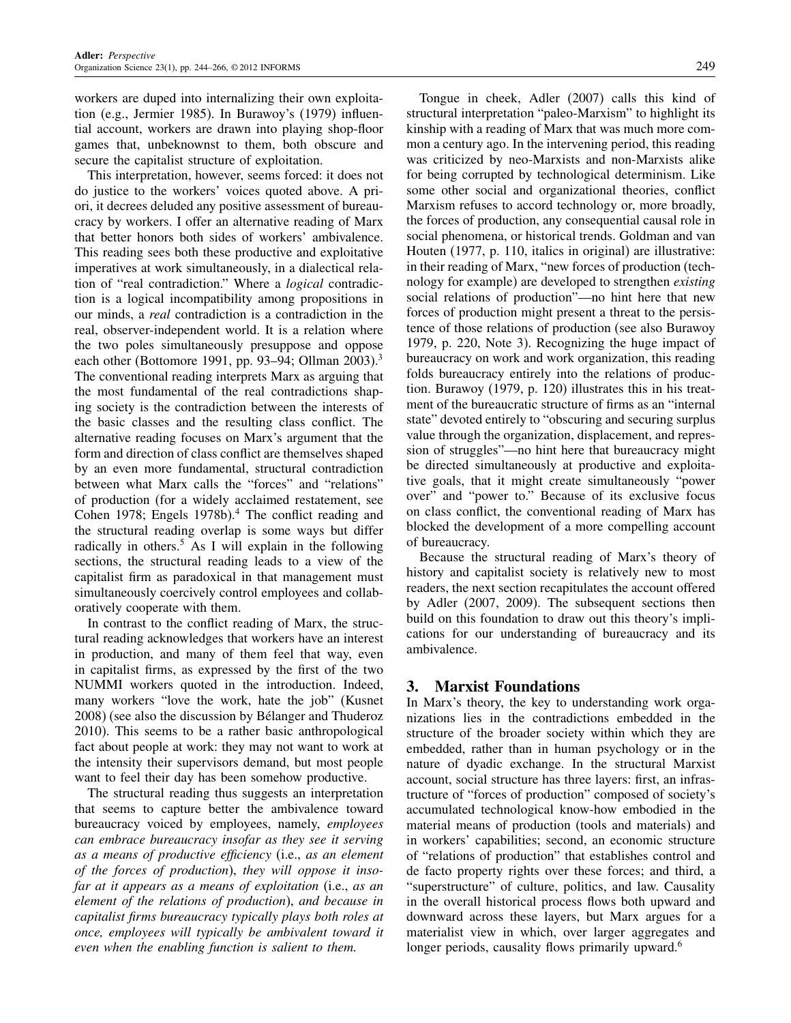workers are duped into internalizing their own exploitation (e.g., Jermier 1985). In Burawoy's (1979) influential account, workers are drawn into playing shop-floor games that, unbeknownst to them, both obscure and secure the capitalist structure of exploitation.

This interpretation, however, seems forced: it does not do justice to the workers' voices quoted above. A priori, it decrees deluded any positive assessment of bureaucracy by workers. I offer an alternative reading of Marx that better honors both sides of workers' ambivalence. This reading sees both these productive and exploitative imperatives at work simultaneously, in a dialectical relation of "real contradiction." Where a logical contradiction is a logical incompatibility among propositions in our minds, a real contradiction is a contradiction in the real, observer-independent world. It is a relation where the two poles simultaneously presuppose and oppose each other (Bottomore 1991, pp. 93–94; Ollman 2003).<sup>3</sup> The conventional reading interprets Marx as arguing that the most fundamental of the real contradictions shaping society is the contradiction between the interests of the basic classes and the resulting class conflict. The alternative reading focuses on Marx's argument that the form and direction of class conflict are themselves shaped by an even more fundamental, structural contradiction between what Marx calls the "forces" and "relations" of production (for a widely acclaimed restatement, see Cohen 1978; Engels 1978b).<sup>4</sup> The conflict reading and the structural reading overlap is some ways but differ radically in others.<sup>5</sup> As I will explain in the following sections, the structural reading leads to a view of the capitalist firm as paradoxical in that management must simultaneously coercively control employees and collaboratively cooperate with them.

In contrast to the conflict reading of Marx, the structural reading acknowledges that workers have an interest in production, and many of them feel that way, even in capitalist firms, as expressed by the first of the two NUMMI workers quoted in the introduction. Indeed, many workers "love the work, hate the job" (Kusnet 2008) (see also the discussion by Bélanger and Thuderoz 2010). This seems to be a rather basic anthropological fact about people at work: they may not want to work at the intensity their supervisors demand, but most people want to feel their day has been somehow productive.

The structural reading thus suggests an interpretation that seems to capture better the ambivalence toward bureaucracy voiced by employees, namely, employees can embrace bureaucracy insofar as they see it serving as a means of productive efficiency (i.e., as an element of the forces of production), they will oppose it insofar at it appears as a means of exploitation (i.e., as an element of the relations of production), and because in capitalist firms bureaucracy typically plays both roles at once, employees will typically be ambivalent toward it even when the enabling function is salient to them.

Tongue in cheek, Adler (2007) calls this kind of structural interpretation "paleo-Marxism" to highlight its kinship with a reading of Marx that was much more common a century ago. In the intervening period, this reading was criticized by neo-Marxists and non-Marxists alike for being corrupted by technological determinism. Like some other social and organizational theories, conflict Marxism refuses to accord technology or, more broadly, the forces of production, any consequential causal role in social phenomena, or historical trends. Goldman and van Houten (1977, p. 110, italics in original) are illustrative: in their reading of Marx, "new forces of production (technology for example) are developed to strengthen existing social relations of production"—no hint here that new forces of production might present a threat to the persistence of those relations of production (see also Burawoy 1979, p. 220, Note 3). Recognizing the huge impact of bureaucracy on work and work organization, this reading folds bureaucracy entirely into the relations of production. Burawoy (1979, p. 120) illustrates this in his treatment of the bureaucratic structure of firms as an "internal state" devoted entirely to "obscuring and securing surplus value through the organization, displacement, and repression of struggles"—no hint here that bureaucracy might be directed simultaneously at productive and exploitative goals, that it might create simultaneously "power over" and "power to." Because of its exclusive focus on class conflict, the conventional reading of Marx has blocked the development of a more compelling account of bureaucracy.

Because the structural reading of Marx's theory of history and capitalist society is relatively new to most readers, the next section recapitulates the account offered by Adler (2007, 2009). The subsequent sections then build on this foundation to draw out this theory's implications for our understanding of bureaucracy and its ambivalence.

# 3. Marxist Foundations

In Marx's theory, the key to understanding work organizations lies in the contradictions embedded in the structure of the broader society within which they are embedded, rather than in human psychology or in the nature of dyadic exchange. In the structural Marxist account, social structure has three layers: first, an infrastructure of "forces of production" composed of society's accumulated technological know-how embodied in the material means of production (tools and materials) and in workers' capabilities; second, an economic structure of "relations of production" that establishes control and de facto property rights over these forces; and third, a "superstructure" of culture, politics, and law. Causality in the overall historical process flows both upward and downward across these layers, but Marx argues for a materialist view in which, over larger aggregates and longer periods, causality flows primarily upward.<sup>6</sup>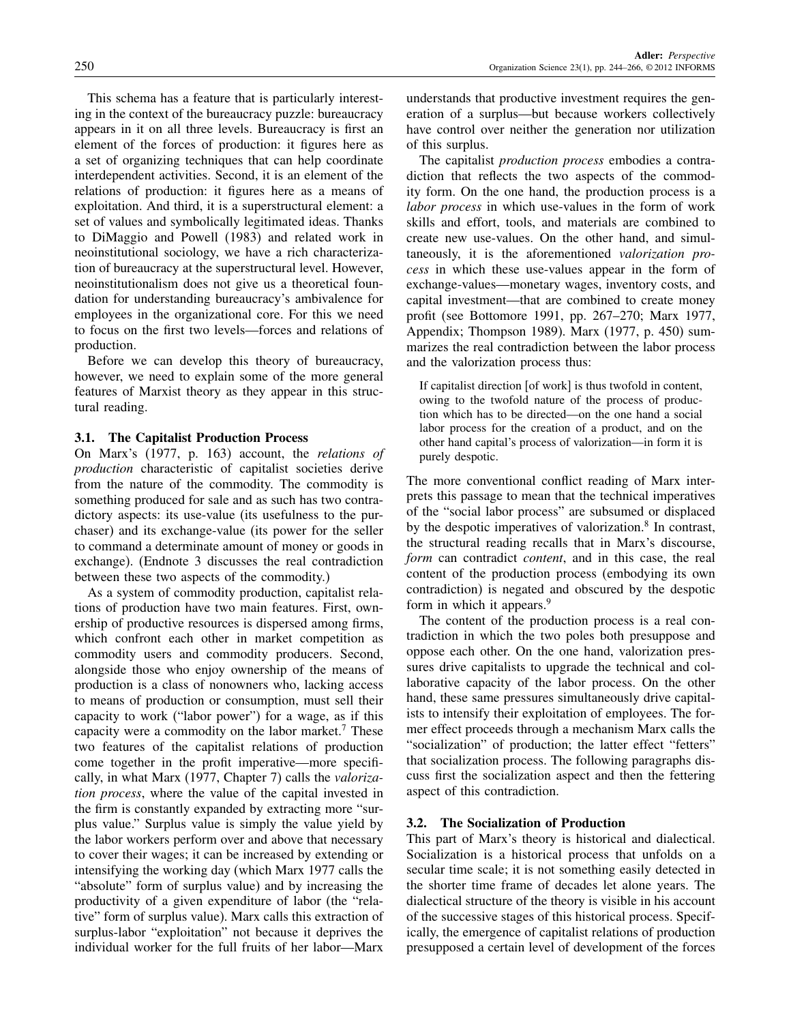This schema has a feature that is particularly interesting in the context of the bureaucracy puzzle: bureaucracy appears in it on all three levels. Bureaucracy is first an element of the forces of production: it figures here as a set of organizing techniques that can help coordinate interdependent activities. Second, it is an element of the relations of production: it figures here as a means of exploitation. And third, it is a superstructural element: a set of values and symbolically legitimated ideas. Thanks to DiMaggio and Powell (1983) and related work in neoinstitutional sociology, we have a rich characterization of bureaucracy at the superstructural level. However, neoinstitutionalism does not give us a theoretical foundation for understanding bureaucracy's ambivalence for employees in the organizational core. For this we need to focus on the first two levels—forces and relations of production.

Before we can develop this theory of bureaucracy, however, we need to explain some of the more general features of Marxist theory as they appear in this structural reading.

#### 3.1. The Capitalist Production Process

On Marx's (1977, p. 163) account, the relations of production characteristic of capitalist societies derive from the nature of the commodity. The commodity is something produced for sale and as such has two contradictory aspects: its use-value (its usefulness to the purchaser) and its exchange-value (its power for the seller to command a determinate amount of money or goods in exchange). (Endnote 3 discusses the real contradiction between these two aspects of the commodity.)

As a system of commodity production, capitalist relations of production have two main features. First, ownership of productive resources is dispersed among firms, which confront each other in market competition as commodity users and commodity producers. Second, alongside those who enjoy ownership of the means of production is a class of nonowners who, lacking access to means of production or consumption, must sell their capacity to work ("labor power") for a wage, as if this capacity were a commodity on the labor market.<sup>7</sup> These two features of the capitalist relations of production come together in the profit imperative—more specifically, in what Marx (1977, Chapter 7) calls the valorization process, where the value of the capital invested in the firm is constantly expanded by extracting more "surplus value." Surplus value is simply the value yield by the labor workers perform over and above that necessary to cover their wages; it can be increased by extending or intensifying the working day (which Marx 1977 calls the "absolute" form of surplus value) and by increasing the productivity of a given expenditure of labor (the "relative" form of surplus value). Marx calls this extraction of surplus-labor "exploitation" not because it deprives the individual worker for the full fruits of her labor—Marx understands that productive investment requires the generation of a surplus—but because workers collectively have control over neither the generation nor utilization of this surplus.

Adler: Perspective

The capitalist production process embodies a contradiction that reflects the two aspects of the commodity form. On the one hand, the production process is a labor process in which use-values in the form of work skills and effort, tools, and materials are combined to create new use-values. On the other hand, and simultaneously, it is the aforementioned valorization process in which these use-values appear in the form of exchange-values—monetary wages, inventory costs, and capital investment—that are combined to create money profit (see Bottomore 1991, pp. 267–270; Marx 1977, Appendix; Thompson 1989). Marx (1977, p. 450) summarizes the real contradiction between the labor process and the valorization process thus:

If capitalist direction [of work] is thus twofold in content, owing to the twofold nature of the process of production which has to be directed—on the one hand a social labor process for the creation of a product, and on the other hand capital's process of valorization—in form it is purely despotic.

The more conventional conflict reading of Marx interprets this passage to mean that the technical imperatives of the "social labor process" are subsumed or displaced by the despotic imperatives of valorization.<sup>8</sup> In contrast, the structural reading recalls that in Marx's discourse, form can contradict *content*, and in this case, the real content of the production process (embodying its own contradiction) is negated and obscured by the despotic form in which it appears.<sup>9</sup>

The content of the production process is a real contradiction in which the two poles both presuppose and oppose each other. On the one hand, valorization pressures drive capitalists to upgrade the technical and collaborative capacity of the labor process. On the other hand, these same pressures simultaneously drive capitalists to intensify their exploitation of employees. The former effect proceeds through a mechanism Marx calls the "socialization" of production; the latter effect "fetters" that socialization process. The following paragraphs discuss first the socialization aspect and then the fettering aspect of this contradiction.

### 3.2. The Socialization of Production

This part of Marx's theory is historical and dialectical. Socialization is a historical process that unfolds on a secular time scale; it is not something easily detected in the shorter time frame of decades let alone years. The dialectical structure of the theory is visible in his account of the successive stages of this historical process. Specifically, the emergence of capitalist relations of production presupposed a certain level of development of the forces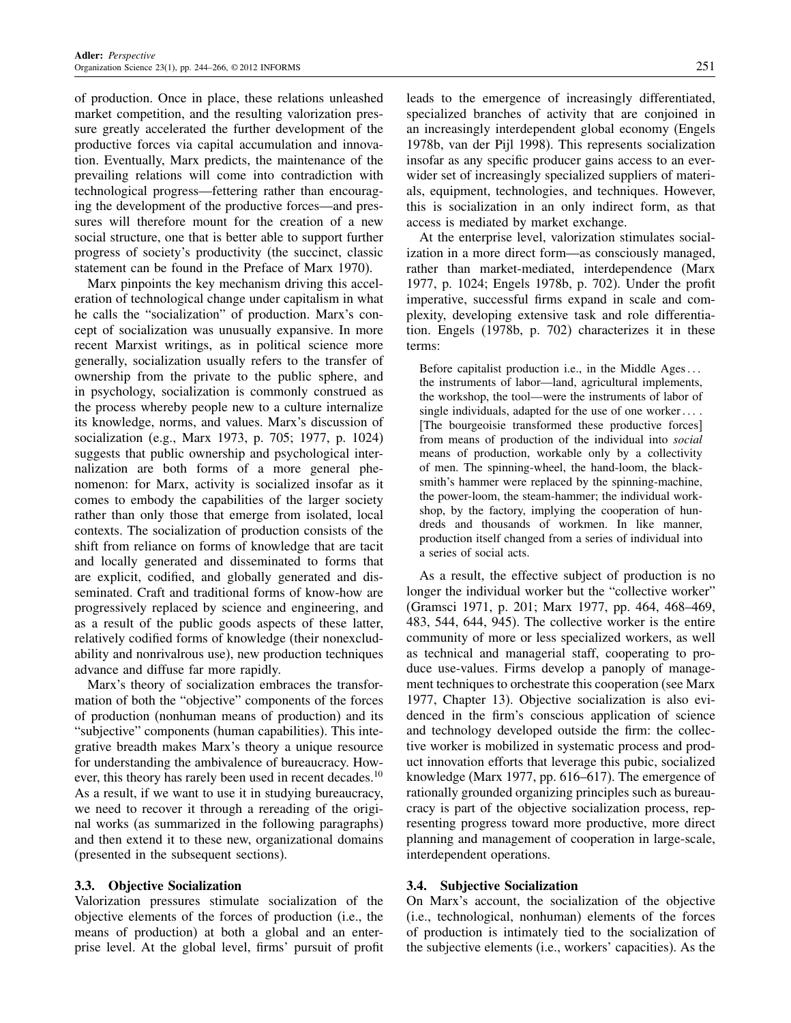of production. Once in place, these relations unleashed market competition, and the resulting valorization pressure greatly accelerated the further development of the productive forces via capital accumulation and innovation. Eventually, Marx predicts, the maintenance of the prevailing relations will come into contradiction with technological progress—fettering rather than encouraging the development of the productive forces—and pressures will therefore mount for the creation of a new social structure, one that is better able to support further progress of society's productivity (the succinct, classic statement can be found in the Preface of Marx 1970).

Marx pinpoints the key mechanism driving this acceleration of technological change under capitalism in what he calls the "socialization" of production. Marx's concept of socialization was unusually expansive. In more recent Marxist writings, as in political science more generally, socialization usually refers to the transfer of ownership from the private to the public sphere, and in psychology, socialization is commonly construed as the process whereby people new to a culture internalize its knowledge, norms, and values. Marx's discussion of socialization (e.g., Marx 1973, p. 705; 1977, p. 1024) suggests that public ownership and psychological internalization are both forms of a more general phenomenon: for Marx, activity is socialized insofar as it comes to embody the capabilities of the larger society rather than only those that emerge from isolated, local contexts. The socialization of production consists of the shift from reliance on forms of knowledge that are tacit and locally generated and disseminated to forms that are explicit, codified, and globally generated and disseminated. Craft and traditional forms of know-how are progressively replaced by science and engineering, and as a result of the public goods aspects of these latter, relatively codified forms of knowledge (their nonexcludability and nonrivalrous use), new production techniques advance and diffuse far more rapidly.

Marx's theory of socialization embraces the transformation of both the "objective" components of the forces of production (nonhuman means of production) and its "subjective" components (human capabilities). This integrative breadth makes Marx's theory a unique resource for understanding the ambivalence of bureaucracy. However, this theory has rarely been used in recent decades.<sup>10</sup> As a result, if we want to use it in studying bureaucracy, we need to recover it through a rereading of the original works (as summarized in the following paragraphs) and then extend it to these new, organizational domains (presented in the subsequent sections).

#### 3.3. Objective Socialization

Valorization pressures stimulate socialization of the objective elements of the forces of production (i.e., the means of production) at both a global and an enterprise level. At the global level, firms' pursuit of profit leads to the emergence of increasingly differentiated, specialized branches of activity that are conjoined in an increasingly interdependent global economy (Engels 1978b, van der Pijl 1998). This represents socialization insofar as any specific producer gains access to an everwider set of increasingly specialized suppliers of materials, equipment, technologies, and techniques. However, this is socialization in an only indirect form, as that access is mediated by market exchange.

At the enterprise level, valorization stimulates socialization in a more direct form—as consciously managed, rather than market-mediated, interdependence (Marx 1977, p. 1024; Engels 1978b, p. 702). Under the profit imperative, successful firms expand in scale and complexity, developing extensive task and role differentiation. Engels (1978b, p. 702) characterizes it in these terms:

Before capitalist production i.e., in the Middle  $Ages...$ the instruments of labor—land, agricultural implements, the workshop, the tool—were the instruments of labor of single individuals, adapted for the use of one worker.... [The bourgeoisie transformed these productive forces] from means of production of the individual into social means of production, workable only by a collectivity of men. The spinning-wheel, the hand-loom, the blacksmith's hammer were replaced by the spinning-machine, the power-loom, the steam-hammer; the individual workshop, by the factory, implying the cooperation of hundreds and thousands of workmen. In like manner, production itself changed from a series of individual into a series of social acts.

As a result, the effective subject of production is no longer the individual worker but the "collective worker" (Gramsci 1971, p. 201; Marx 1977, pp. 464, 468–469, 483, 544, 644, 945). The collective worker is the entire community of more or less specialized workers, as well as technical and managerial staff, cooperating to produce use-values. Firms develop a panoply of management techniques to orchestrate this cooperation (see Marx 1977, Chapter 13). Objective socialization is also evidenced in the firm's conscious application of science and technology developed outside the firm: the collective worker is mobilized in systematic process and product innovation efforts that leverage this pubic, socialized knowledge (Marx 1977, pp. 616–617). The emergence of rationally grounded organizing principles such as bureaucracy is part of the objective socialization process, representing progress toward more productive, more direct planning and management of cooperation in large-scale, interdependent operations.

#### 3.4. Subjective Socialization

On Marx's account, the socialization of the objective (i.e., technological, nonhuman) elements of the forces of production is intimately tied to the socialization of the subjective elements (i.e., workers' capacities). As the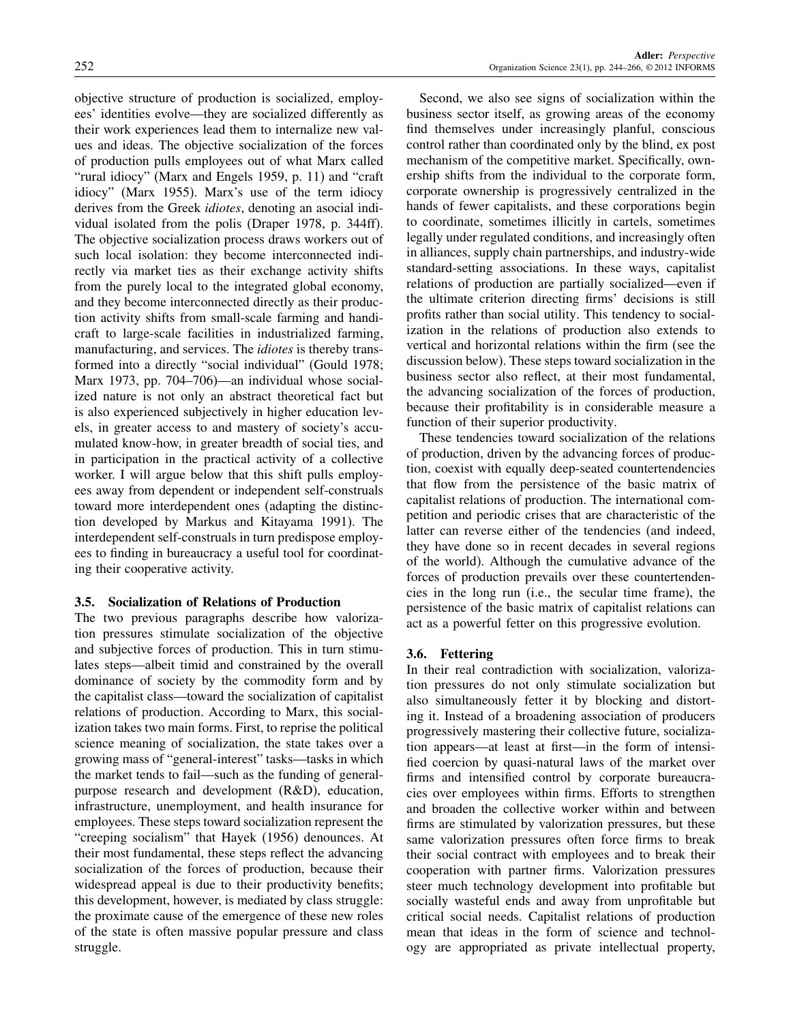objective structure of production is socialized, employees' identities evolve—they are socialized differently as their work experiences lead them to internalize new values and ideas. The objective socialization of the forces of production pulls employees out of what Marx called "rural idiocy" (Marx and Engels 1959, p. 11) and "craft idiocy" (Marx 1955). Marx's use of the term idiocy derives from the Greek idiotes, denoting an asocial individual isolated from the polis (Draper 1978, p. 344ff). The objective socialization process draws workers out of such local isolation: they become interconnected indirectly via market ties as their exchange activity shifts from the purely local to the integrated global economy, and they become interconnected directly as their production activity shifts from small-scale farming and handicraft to large-scale facilities in industrialized farming, manufacturing, and services. The *idiotes* is thereby transformed into a directly "social individual" (Gould 1978; Marx 1973, pp. 704–706)—an individual whose socialized nature is not only an abstract theoretical fact but is also experienced subjectively in higher education levels, in greater access to and mastery of society's accumulated know-how, in greater breadth of social ties, and in participation in the practical activity of a collective worker. I will argue below that this shift pulls employees away from dependent or independent self-construals toward more interdependent ones (adapting the distinction developed by Markus and Kitayama 1991). The interdependent self-construals in turn predispose employees to finding in bureaucracy a useful tool for coordinating their cooperative activity.

#### 3.5. Socialization of Relations of Production

The two previous paragraphs describe how valorization pressures stimulate socialization of the objective and subjective forces of production. This in turn stimulates steps—albeit timid and constrained by the overall dominance of society by the commodity form and by the capitalist class—toward the socialization of capitalist relations of production. According to Marx, this socialization takes two main forms. First, to reprise the political science meaning of socialization, the state takes over a growing mass of "general-interest" tasks—tasks in which the market tends to fail—such as the funding of generalpurpose research and development (R&D), education, infrastructure, unemployment, and health insurance for employees. These steps toward socialization represent the "creeping socialism" that Hayek (1956) denounces. At their most fundamental, these steps reflect the advancing socialization of the forces of production, because their widespread appeal is due to their productivity benefits; this development, however, is mediated by class struggle: the proximate cause of the emergence of these new roles of the state is often massive popular pressure and class struggle.

Second, we also see signs of socialization within the business sector itself, as growing areas of the economy find themselves under increasingly planful, conscious control rather than coordinated only by the blind, ex post mechanism of the competitive market. Specifically, ownership shifts from the individual to the corporate form, corporate ownership is progressively centralized in the hands of fewer capitalists, and these corporations begin to coordinate, sometimes illicitly in cartels, sometimes legally under regulated conditions, and increasingly often in alliances, supply chain partnerships, and industry-wide standard-setting associations. In these ways, capitalist relations of production are partially socialized—even if the ultimate criterion directing firms' decisions is still profits rather than social utility. This tendency to socialization in the relations of production also extends to vertical and horizontal relations within the firm (see the discussion below). These steps toward socialization in the business sector also reflect, at their most fundamental, the advancing socialization of the forces of production, because their profitability is in considerable measure a function of their superior productivity.

These tendencies toward socialization of the relations of production, driven by the advancing forces of production, coexist with equally deep-seated countertendencies that flow from the persistence of the basic matrix of capitalist relations of production. The international competition and periodic crises that are characteristic of the latter can reverse either of the tendencies (and indeed, they have done so in recent decades in several regions of the world). Although the cumulative advance of the forces of production prevails over these countertendencies in the long run (i.e., the secular time frame), the persistence of the basic matrix of capitalist relations can act as a powerful fetter on this progressive evolution.

#### 3.6. Fettering

In their real contradiction with socialization, valorization pressures do not only stimulate socialization but also simultaneously fetter it by blocking and distorting it. Instead of a broadening association of producers progressively mastering their collective future, socialization appears—at least at first—in the form of intensified coercion by quasi-natural laws of the market over firms and intensified control by corporate bureaucracies over employees within firms. Efforts to strengthen and broaden the collective worker within and between firms are stimulated by valorization pressures, but these same valorization pressures often force firms to break their social contract with employees and to break their cooperation with partner firms. Valorization pressures steer much technology development into profitable but socially wasteful ends and away from unprofitable but critical social needs. Capitalist relations of production mean that ideas in the form of science and technology are appropriated as private intellectual property,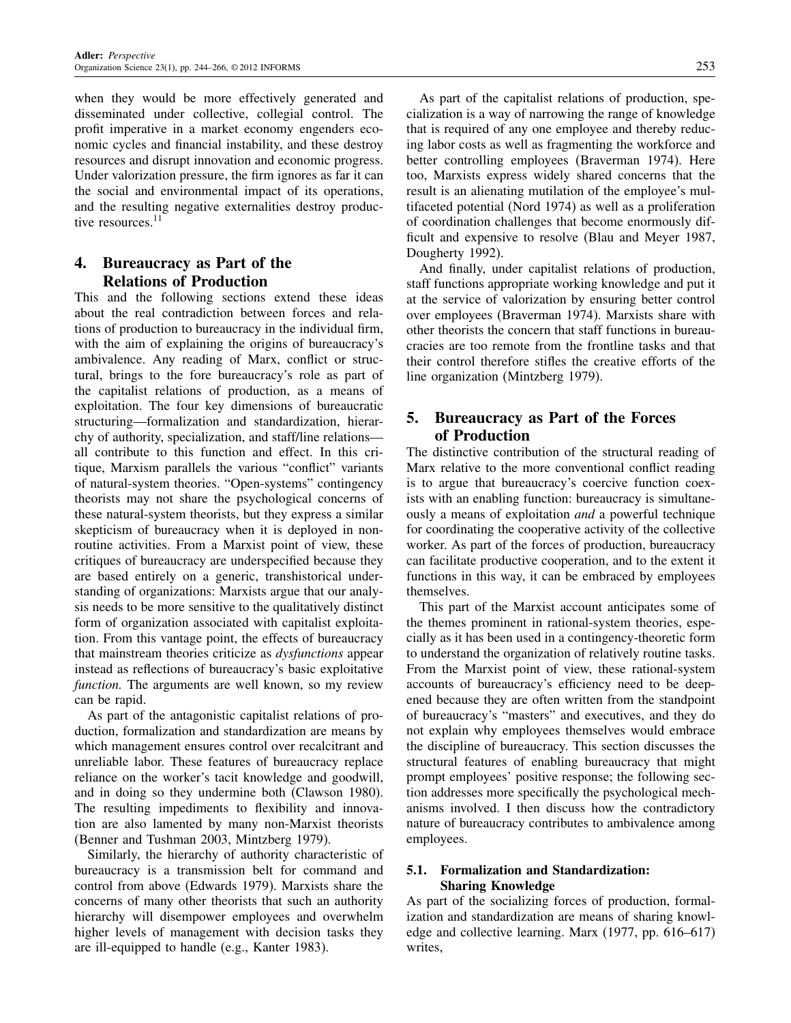when they would be more effectively generated and disseminated under collective, collegial control. The profit imperative in a market economy engenders economic cycles and financial instability, and these destroy resources and disrupt innovation and economic progress. Under valorization pressure, the firm ignores as far it can the social and environmental impact of its operations, and the resulting negative externalities destroy productive resources.<sup>11</sup>

# 4. Bureaucracy as Part of the Relations of Production

This and the following sections extend these ideas about the real contradiction between forces and relations of production to bureaucracy in the individual firm, with the aim of explaining the origins of bureaucracy's ambivalence. Any reading of Marx, conflict or structural, brings to the fore bureaucracy's role as part of the capitalist relations of production, as a means of exploitation. The four key dimensions of bureaucratic structuring—formalization and standardization, hierarchy of authority, specialization, and staff/line relations all contribute to this function and effect. In this critique, Marxism parallels the various "conflict" variants of natural-system theories. "Open-systems" contingency theorists may not share the psychological concerns of these natural-system theorists, but they express a similar skepticism of bureaucracy when it is deployed in nonroutine activities. From a Marxist point of view, these critiques of bureaucracy are underspecified because they are based entirely on a generic, transhistorical understanding of organizations: Marxists argue that our analysis needs to be more sensitive to the qualitatively distinct form of organization associated with capitalist exploitation. From this vantage point, the effects of bureaucracy that mainstream theories criticize as dysfunctions appear instead as reflections of bureaucracy's basic exploitative function. The arguments are well known, so my review can be rapid.

As part of the antagonistic capitalist relations of production, formalization and standardization are means by which management ensures control over recalcitrant and unreliable labor. These features of bureaucracy replace reliance on the worker's tacit knowledge and goodwill, and in doing so they undermine both (Clawson 1980). The resulting impediments to flexibility and innovation are also lamented by many non-Marxist theorists (Benner and Tushman 2003, Mintzberg 1979).

Similarly, the hierarchy of authority characteristic of bureaucracy is a transmission belt for command and control from above (Edwards 1979). Marxists share the concerns of many other theorists that such an authority hierarchy will disempower employees and overwhelm higher levels of management with decision tasks they are ill-equipped to handle (e.g., Kanter 1983).

As part of the capitalist relations of production, specialization is a way of narrowing the range of knowledge that is required of any one employee and thereby reducing labor costs as well as fragmenting the workforce and better controlling employees (Braverman 1974). Here too, Marxists express widely shared concerns that the result is an alienating mutilation of the employee's multifaceted potential (Nord 1974) as well as a proliferation of coordination challenges that become enormously difficult and expensive to resolve (Blau and Meyer 1987, Dougherty 1992).

And finally, under capitalist relations of production, staff functions appropriate working knowledge and put it at the service of valorization by ensuring better control over employees (Braverman 1974). Marxists share with other theorists the concern that staff functions in bureaucracies are too remote from the frontline tasks and that their control therefore stifles the creative efforts of the line organization (Mintzberg 1979).

# 5. Bureaucracy as Part of the Forces of Production

The distinctive contribution of the structural reading of Marx relative to the more conventional conflict reading is to argue that bureaucracy's coercive function coexists with an enabling function: bureaucracy is simultaneously a means of exploitation and a powerful technique for coordinating the cooperative activity of the collective worker. As part of the forces of production, bureaucracy can facilitate productive cooperation, and to the extent it functions in this way, it can be embraced by employees themselves.

This part of the Marxist account anticipates some of the themes prominent in rational-system theories, especially as it has been used in a contingency-theoretic form to understand the organization of relatively routine tasks. From the Marxist point of view, these rational-system accounts of bureaucracy's efficiency need to be deepened because they are often written from the standpoint of bureaucracy's "masters" and executives, and they do not explain why employees themselves would embrace the discipline of bureaucracy. This section discusses the structural features of enabling bureaucracy that might prompt employees' positive response; the following section addresses more specifically the psychological mechanisms involved. I then discuss how the contradictory nature of bureaucracy contributes to ambivalence among employees.

### 5.1. Formalization and Standardization: Sharing Knowledge

As part of the socializing forces of production, formalization and standardization are means of sharing knowledge and collective learning. Marx (1977, pp. 616–617) writes,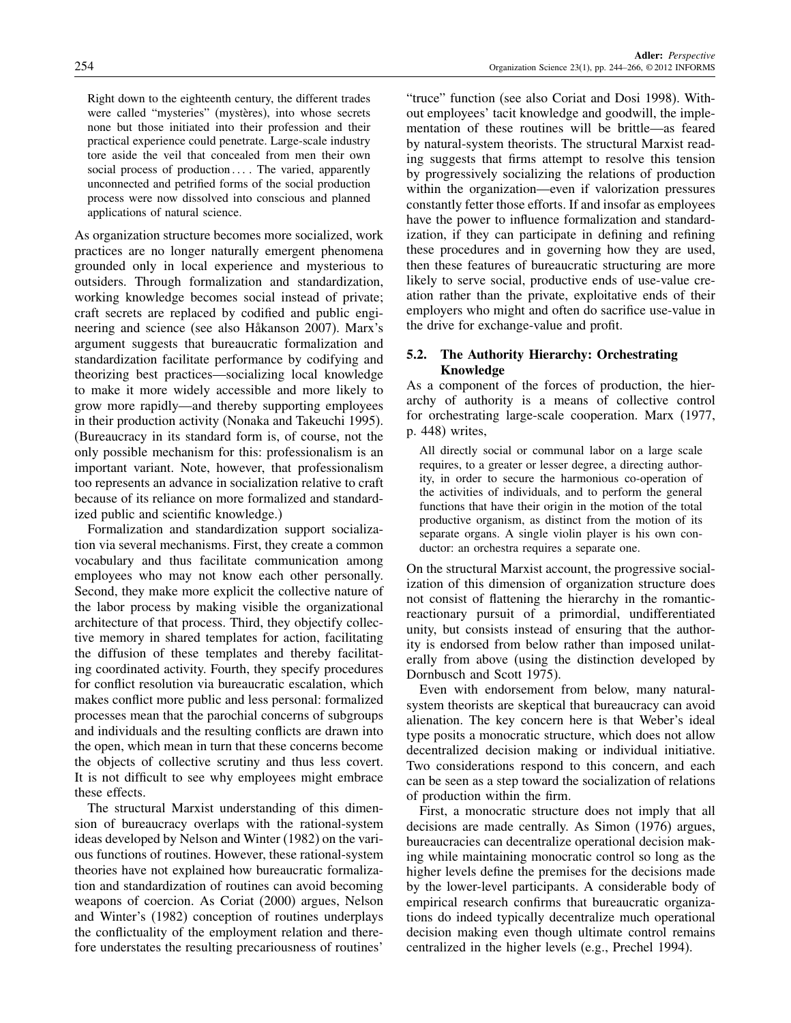Right down to the eighteenth century, the different trades were called "mysteries" (mystères), into whose secrets none but those initiated into their profession and their practical experience could penetrate. Large-scale industry tore aside the veil that concealed from men their own social process of production ... The varied, apparently unconnected and petrified forms of the social production process were now dissolved into conscious and planned applications of natural science.

As organization structure becomes more socialized, work practices are no longer naturally emergent phenomena grounded only in local experience and mysterious to outsiders. Through formalization and standardization, working knowledge becomes social instead of private; craft secrets are replaced by codified and public engineering and science (see also Håkanson 2007). Marx's argument suggests that bureaucratic formalization and standardization facilitate performance by codifying and theorizing best practices—socializing local knowledge to make it more widely accessible and more likely to grow more rapidly—and thereby supporting employees in their production activity (Nonaka and Takeuchi 1995). (Bureaucracy in its standard form is, of course, not the only possible mechanism for this: professionalism is an important variant. Note, however, that professionalism too represents an advance in socialization relative to craft because of its reliance on more formalized and standardized public and scientific knowledge.)

Formalization and standardization support socialization via several mechanisms. First, they create a common vocabulary and thus facilitate communication among employees who may not know each other personally. Second, they make more explicit the collective nature of the labor process by making visible the organizational architecture of that process. Third, they objectify collective memory in shared templates for action, facilitating the diffusion of these templates and thereby facilitating coordinated activity. Fourth, they specify procedures for conflict resolution via bureaucratic escalation, which makes conflict more public and less personal: formalized processes mean that the parochial concerns of subgroups and individuals and the resulting conflicts are drawn into the open, which mean in turn that these concerns become the objects of collective scrutiny and thus less covert. It is not difficult to see why employees might embrace these effects.

The structural Marxist understanding of this dimension of bureaucracy overlaps with the rational-system ideas developed by Nelson and Winter (1982) on the various functions of routines. However, these rational-system theories have not explained how bureaucratic formalization and standardization of routines can avoid becoming weapons of coercion. As Coriat (2000) argues, Nelson and Winter's (1982) conception of routines underplays the conflictuality of the employment relation and therefore understates the resulting precariousness of routines' "truce" function (see also Coriat and Dosi 1998). Without employees' tacit knowledge and goodwill, the implementation of these routines will be brittle—as feared by natural-system theorists. The structural Marxist reading suggests that firms attempt to resolve this tension by progressively socializing the relations of production within the organization—even if valorization pressures constantly fetter those efforts. If and insofar as employees have the power to influence formalization and standardization, if they can participate in defining and refining these procedures and in governing how they are used, then these features of bureaucratic structuring are more likely to serve social, productive ends of use-value creation rather than the private, exploitative ends of their employers who might and often do sacrifice use-value in the drive for exchange-value and profit.

#### 5.2. The Authority Hierarchy: Orchestrating Knowledge

As a component of the forces of production, the hierarchy of authority is a means of collective control for orchestrating large-scale cooperation. Marx (1977, p. 448) writes,

All directly social or communal labor on a large scale requires, to a greater or lesser degree, a directing authority, in order to secure the harmonious co-operation of the activities of individuals, and to perform the general functions that have their origin in the motion of the total productive organism, as distinct from the motion of its separate organs. A single violin player is his own conductor: an orchestra requires a separate one.

On the structural Marxist account, the progressive socialization of this dimension of organization structure does not consist of flattening the hierarchy in the romanticreactionary pursuit of a primordial, undifferentiated unity, but consists instead of ensuring that the authority is endorsed from below rather than imposed unilaterally from above (using the distinction developed by Dornbusch and Scott 1975).

Even with endorsement from below, many naturalsystem theorists are skeptical that bureaucracy can avoid alienation. The key concern here is that Weber's ideal type posits a monocratic structure, which does not allow decentralized decision making or individual initiative. Two considerations respond to this concern, and each can be seen as a step toward the socialization of relations of production within the firm.

First, a monocratic structure does not imply that all decisions are made centrally. As Simon (1976) argues, bureaucracies can decentralize operational decision making while maintaining monocratic control so long as the higher levels define the premises for the decisions made by the lower-level participants. A considerable body of empirical research confirms that bureaucratic organizations do indeed typically decentralize much operational decision making even though ultimate control remains centralized in the higher levels (e.g., Prechel 1994).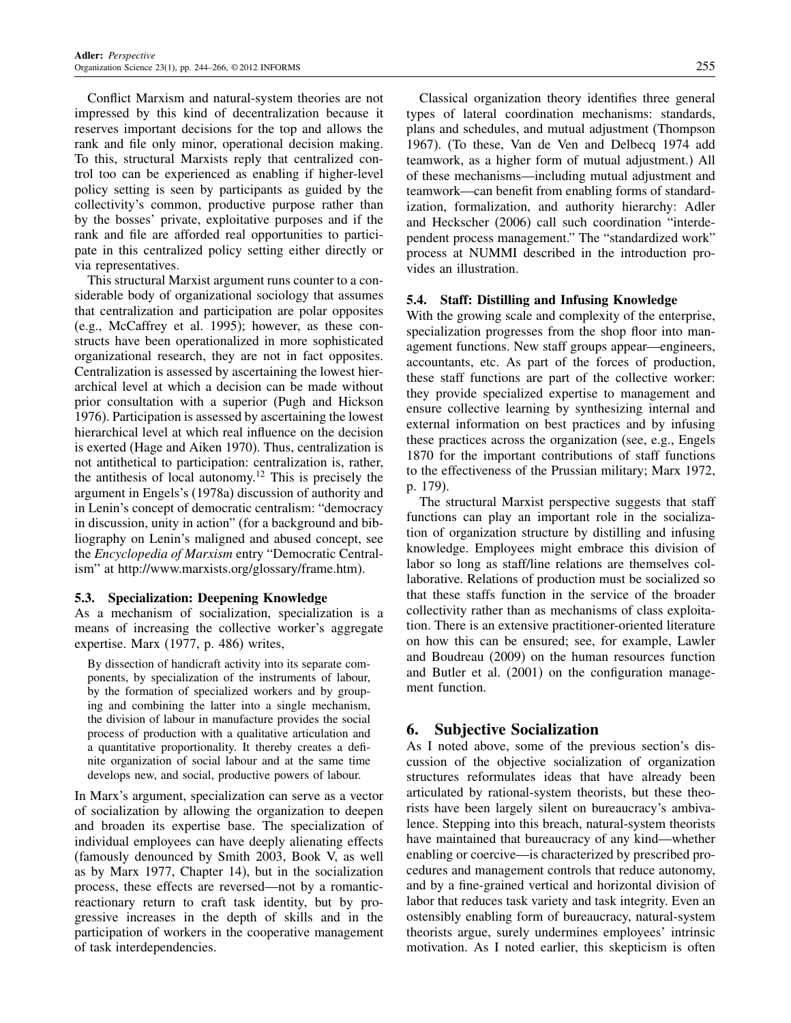Conflict Marxism and natural-system theories are not impressed by this kind of decentralization because it reserves important decisions for the top and allows the rank and file only minor, operational decision making. To this, structural Marxists reply that centralized control too can be experienced as enabling if higher-level policy setting is seen by participants as guided by the collectivity's common, productive purpose rather than by the bosses' private, exploitative purposes and if the rank and file are afforded real opportunities to participate in this centralized policy setting either directly or via representatives.

This structural Marxist argument runs counter to a considerable body of organizational sociology that assumes that centralization and participation are polar opposites (e.g., McCaffrey et al. 1995); however, as these constructs have been operationalized in more sophisticated organizational research, they are not in fact opposites. Centralization is assessed by ascertaining the lowest hierarchical level at which a decision can be made without prior consultation with a superior (Pugh and Hickson 1976). Participation is assessed by ascertaining the lowest hierarchical level at which real influence on the decision is exerted (Hage and Aiken 1970). Thus, centralization is not antithetical to participation: centralization is, rather, the antithesis of local autonomy.<sup>12</sup> This is precisely the argument in Engels's (1978a) discussion of authority and in Lenin's concept of democratic centralism: "democracy in discussion, unity in action" (for a background and bibliography on Lenin's maligned and abused concept, see the Encyclopedia of Marxism entry "Democratic Centralism" at http://www.marxists.org/glossary/frame.htm).

### 5.3. Specialization: Deepening Knowledge

As a mechanism of socialization, specialization is a means of increasing the collective worker's aggregate expertise. Marx (1977, p. 486) writes,

By dissection of handicraft activity into its separate components, by specialization of the instruments of labour, by the formation of specialized workers and by grouping and combining the latter into a single mechanism, the division of labour in manufacture provides the social process of production with a qualitative articulation and a quantitative proportionality. It thereby creates a definite organization of social labour and at the same time develops new, and social, productive powers of labour.

In Marx's argument, specialization can serve as a vector of socialization by allowing the organization to deepen and broaden its expertise base. The specialization of individual employees can have deeply alienating effects (famously denounced by Smith 2003, Book V, as well as by Marx 1977, Chapter 14), but in the socialization process, these effects are reversed—not by a romanticreactionary return to craft task identity, but by progressive increases in the depth of skills and in the participation of workers in the cooperative management of task interdependencies.

Classical organization theory identifies three general types of lateral coordination mechanisms: standards, plans and schedules, and mutual adjustment (Thompson 1967). (To these, Van de Ven and Delbecq 1974 add teamwork, as a higher form of mutual adjustment.) All of these mechanisms—including mutual adjustment and teamwork—can benefit from enabling forms of standardization, formalization, and authority hierarchy: Adler and Heckscher (2006) call such coordination "interdependent process management." The "standardized work" process at NUMMI described in the introduction provides an illustration.

## 5.4. Staff: Distilling and Infusing Knowledge

With the growing scale and complexity of the enterprise, specialization progresses from the shop floor into management functions. New staff groups appear—engineers, accountants, etc. As part of the forces of production, these staff functions are part of the collective worker: they provide specialized expertise to management and ensure collective learning by synthesizing internal and external information on best practices and by infusing these practices across the organization (see, e.g., Engels 1870 for the important contributions of staff functions to the effectiveness of the Prussian military; Marx 1972, p. 179).

The structural Marxist perspective suggests that staff functions can play an important role in the socialization of organization structure by distilling and infusing knowledge. Employees might embrace this division of labor so long as staff/line relations are themselves collaborative. Relations of production must be socialized so that these staffs function in the service of the broader collectivity rather than as mechanisms of class exploitation. There is an extensive practitioner-oriented literature on how this can be ensured; see, for example, Lawler and Boudreau (2009) on the human resources function and Butler et al. (2001) on the configuration management function.

# 6. Subjective Socialization

As I noted above, some of the previous section's discussion of the objective socialization of organization structures reformulates ideas that have already been articulated by rational-system theorists, but these theorists have been largely silent on bureaucracy's ambivalence. Stepping into this breach, natural-system theorists have maintained that bureaucracy of any kind—whether enabling or coercive—is characterized by prescribed procedures and management controls that reduce autonomy, and by a fine-grained vertical and horizontal division of labor that reduces task variety and task integrity. Even an ostensibly enabling form of bureaucracy, natural-system theorists argue, surely undermines employees' intrinsic motivation. As I noted earlier, this skepticism is often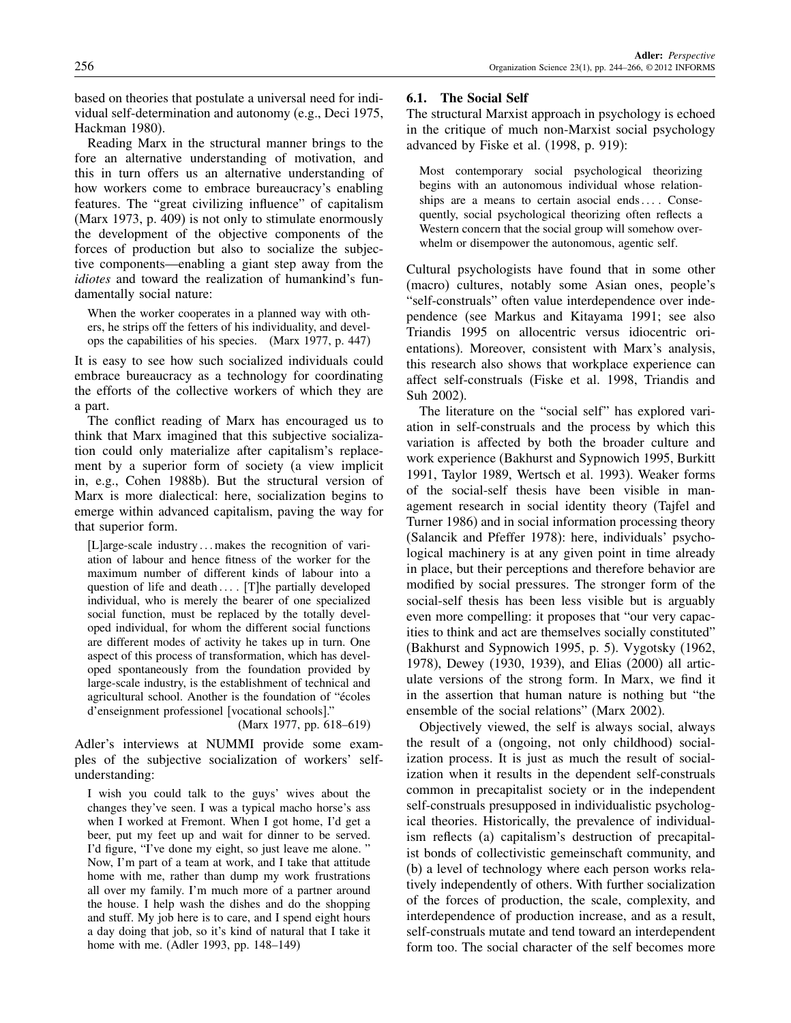based on theories that postulate a universal need for individual self-determination and autonomy (e.g., Deci 1975, Hackman 1980).

Reading Marx in the structural manner brings to the fore an alternative understanding of motivation, and this in turn offers us an alternative understanding of how workers come to embrace bureaucracy's enabling features. The "great civilizing influence" of capitalism (Marx 1973, p. 409) is not only to stimulate enormously the development of the objective components of the forces of production but also to socialize the subjective components—enabling a giant step away from the idiotes and toward the realization of humankind's fundamentally social nature:

When the worker cooperates in a planned way with others, he strips off the fetters of his individuality, and develops the capabilities of his species. (Marx 1977, p. 447)

It is easy to see how such socialized individuals could embrace bureaucracy as a technology for coordinating the efforts of the collective workers of which they are a part.

The conflict reading of Marx has encouraged us to think that Marx imagined that this subjective socialization could only materialize after capitalism's replacement by a superior form of society (a view implicit in, e.g., Cohen 1988b). But the structural version of Marx is more dialectical: here, socialization begins to emerge within advanced capitalism, paving the way for that superior form.

[L]arge-scale industry... makes the recognition of variation of labour and hence fitness of the worker for the maximum number of different kinds of labour into a question of life and death  $\dots$  [T]he partially developed individual, who is merely the bearer of one specialized social function, must be replaced by the totally developed individual, for whom the different social functions are different modes of activity he takes up in turn. One aspect of this process of transformation, which has developed spontaneously from the foundation provided by large-scale industry, is the establishment of technical and agricultural school. Another is the foundation of "écoles d'enseignment professionel [vocational schools]."

#### (Marx 1977, pp. 618–619)

Adler's interviews at NUMMI provide some examples of the subjective socialization of workers' selfunderstanding:

I wish you could talk to the guys' wives about the changes they've seen. I was a typical macho horse's ass when I worked at Fremont. When I got home, I'd get a beer, put my feet up and wait for dinner to be served. I'd figure, "I've done my eight, so just leave me alone. " Now, I'm part of a team at work, and I take that attitude home with me, rather than dump my work frustrations all over my family. I'm much more of a partner around the house. I help wash the dishes and do the shopping and stuff. My job here is to care, and I spend eight hours a day doing that job, so it's kind of natural that I take it home with me. (Adler 1993, pp. 148–149)

#### 6.1. The Social Self

The structural Marxist approach in psychology is echoed in the critique of much non-Marxist social psychology advanced by Fiske et al. (1998, p. 919):

Most contemporary social psychological theorizing begins with an autonomous individual whose relationships are a means to certain asocial ends.... Consequently, social psychological theorizing often reflects a Western concern that the social group will somehow overwhelm or disempower the autonomous, agentic self.

Cultural psychologists have found that in some other (macro) cultures, notably some Asian ones, people's "self-construals" often value interdependence over independence (see Markus and Kitayama 1991; see also Triandis 1995 on allocentric versus idiocentric orientations). Moreover, consistent with Marx's analysis, this research also shows that workplace experience can affect self-construals (Fiske et al. 1998, Triandis and Suh 2002).

The literature on the "social self" has explored variation in self-construals and the process by which this variation is affected by both the broader culture and work experience (Bakhurst and Sypnowich 1995, Burkitt 1991, Taylor 1989, Wertsch et al. 1993). Weaker forms of the social-self thesis have been visible in management research in social identity theory (Tajfel and Turner 1986) and in social information processing theory (Salancik and Pfeffer 1978): here, individuals' psychological machinery is at any given point in time already in place, but their perceptions and therefore behavior are modified by social pressures. The stronger form of the social-self thesis has been less visible but is arguably even more compelling: it proposes that "our very capacities to think and act are themselves socially constituted" (Bakhurst and Sypnowich 1995, p. 5). Vygotsky (1962, 1978), Dewey (1930, 1939), and Elias (2000) all articulate versions of the strong form. In Marx, we find it in the assertion that human nature is nothing but "the ensemble of the social relations" (Marx 2002).

Objectively viewed, the self is always social, always the result of a (ongoing, not only childhood) socialization process. It is just as much the result of socialization when it results in the dependent self-construals common in precapitalist society or in the independent self-construals presupposed in individualistic psychological theories. Historically, the prevalence of individualism reflects (a) capitalism's destruction of precapitalist bonds of collectivistic gemeinschaft community, and (b) a level of technology where each person works relatively independently of others. With further socialization of the forces of production, the scale, complexity, and interdependence of production increase, and as a result, self-construals mutate and tend toward an interdependent form too. The social character of the self becomes more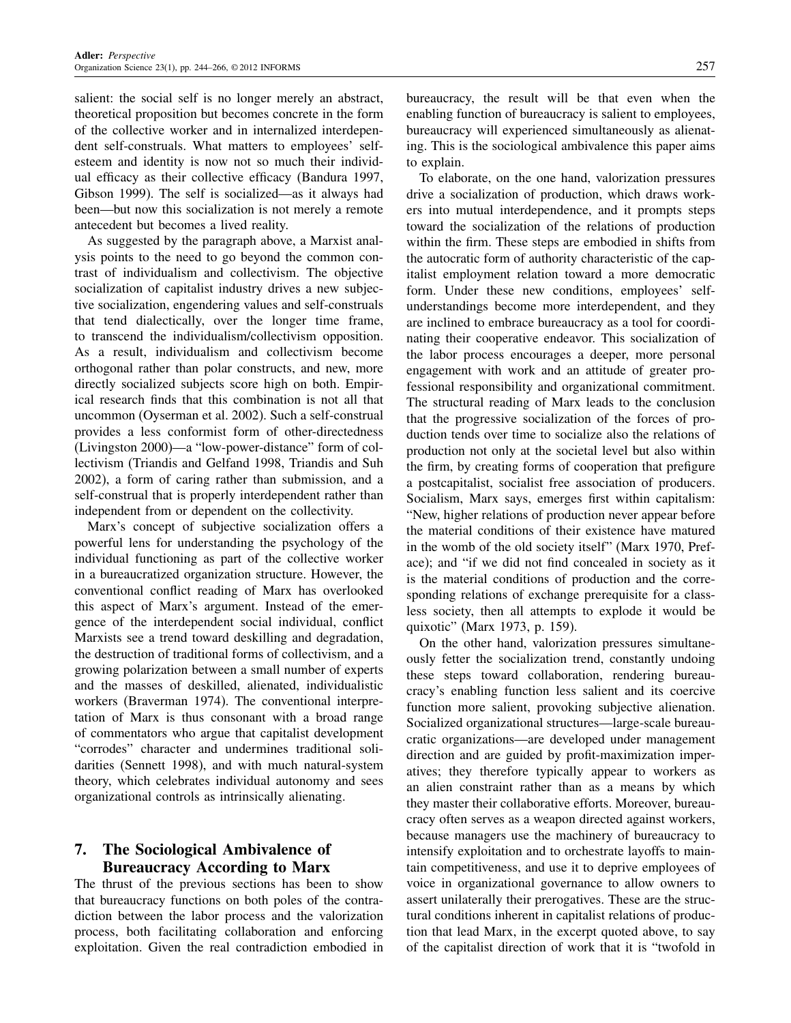salient: the social self is no longer merely an abstract, theoretical proposition but becomes concrete in the form of the collective worker and in internalized interdependent self-construals. What matters to employees' selfesteem and identity is now not so much their individual efficacy as their collective efficacy (Bandura 1997, Gibson 1999). The self is socialized—as it always had been—but now this socialization is not merely a remote antecedent but becomes a lived reality.

As suggested by the paragraph above, a Marxist analysis points to the need to go beyond the common contrast of individualism and collectivism. The objective socialization of capitalist industry drives a new subjective socialization, engendering values and self-construals that tend dialectically, over the longer time frame, to transcend the individualism/collectivism opposition. As a result, individualism and collectivism become orthogonal rather than polar constructs, and new, more directly socialized subjects score high on both. Empirical research finds that this combination is not all that uncommon (Oyserman et al. 2002). Such a self-construal provides a less conformist form of other-directedness (Livingston 2000)—a "low-power-distance" form of collectivism (Triandis and Gelfand 1998, Triandis and Suh 2002), a form of caring rather than submission, and a self-construal that is properly interdependent rather than independent from or dependent on the collectivity.

Marx's concept of subjective socialization offers a powerful lens for understanding the psychology of the individual functioning as part of the collective worker in a bureaucratized organization structure. However, the conventional conflict reading of Marx has overlooked this aspect of Marx's argument. Instead of the emergence of the interdependent social individual, conflict Marxists see a trend toward deskilling and degradation, the destruction of traditional forms of collectivism, and a growing polarization between a small number of experts and the masses of deskilled, alienated, individualistic workers (Braverman 1974). The conventional interpretation of Marx is thus consonant with a broad range of commentators who argue that capitalist development "corrodes" character and undermines traditional solidarities (Sennett 1998), and with much natural-system theory, which celebrates individual autonomy and sees organizational controls as intrinsically alienating.

# 7. The Sociological Ambivalence of Bureaucracy According to Marx

The thrust of the previous sections has been to show that bureaucracy functions on both poles of the contradiction between the labor process and the valorization process, both facilitating collaboration and enforcing exploitation. Given the real contradiction embodied in bureaucracy, the result will be that even when the enabling function of bureaucracy is salient to employees, bureaucracy will experienced simultaneously as alienating. This is the sociological ambivalence this paper aims to explain.

To elaborate, on the one hand, valorization pressures drive a socialization of production, which draws workers into mutual interdependence, and it prompts steps toward the socialization of the relations of production within the firm. These steps are embodied in shifts from the autocratic form of authority characteristic of the capitalist employment relation toward a more democratic form. Under these new conditions, employees' selfunderstandings become more interdependent, and they are inclined to embrace bureaucracy as a tool for coordinating their cooperative endeavor. This socialization of the labor process encourages a deeper, more personal engagement with work and an attitude of greater professional responsibility and organizational commitment. The structural reading of Marx leads to the conclusion that the progressive socialization of the forces of production tends over time to socialize also the relations of production not only at the societal level but also within the firm, by creating forms of cooperation that prefigure a postcapitalist, socialist free association of producers. Socialism, Marx says, emerges first within capitalism: "New, higher relations of production never appear before the material conditions of their existence have matured in the womb of the old society itself" (Marx 1970, Preface); and "if we did not find concealed in society as it is the material conditions of production and the corresponding relations of exchange prerequisite for a classless society, then all attempts to explode it would be quixotic" (Marx 1973, p. 159).

On the other hand, valorization pressures simultaneously fetter the socialization trend, constantly undoing these steps toward collaboration, rendering bureaucracy's enabling function less salient and its coercive function more salient, provoking subjective alienation. Socialized organizational structures—large-scale bureaucratic organizations—are developed under management direction and are guided by profit-maximization imperatives; they therefore typically appear to workers as an alien constraint rather than as a means by which they master their collaborative efforts. Moreover, bureaucracy often serves as a weapon directed against workers, because managers use the machinery of bureaucracy to intensify exploitation and to orchestrate layoffs to maintain competitiveness, and use it to deprive employees of voice in organizational governance to allow owners to assert unilaterally their prerogatives. These are the structural conditions inherent in capitalist relations of production that lead Marx, in the excerpt quoted above, to say of the capitalist direction of work that it is "twofold in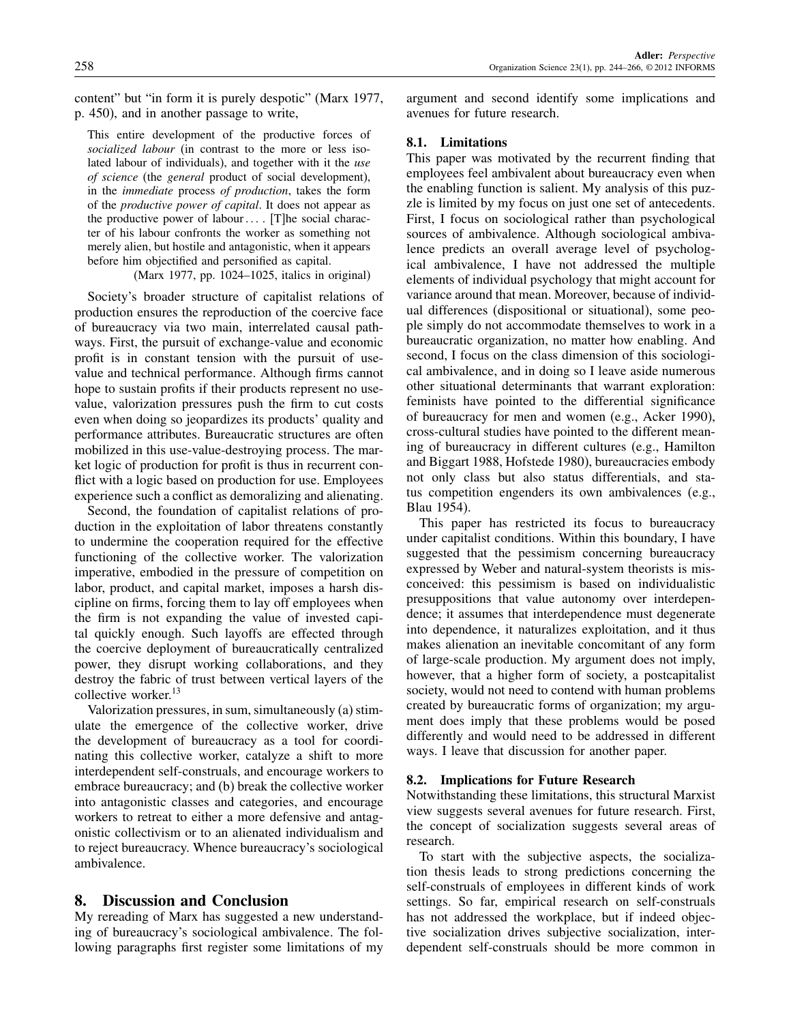content" but "in form it is purely despotic" (Marx 1977, p. 450), and in another passage to write,

This entire development of the productive forces of socialized labour (in contrast to the more or less isolated labour of individuals), and together with it the use of science (the general product of social development), in the immediate process of production, takes the form of the productive power of capital. It does not appear as the productive power of labour.... [T]he social character of his labour confronts the worker as something not merely alien, but hostile and antagonistic, when it appears before him objectified and personified as capital.

(Marx 1977, pp. 1024–1025, italics in original)

Society's broader structure of capitalist relations of production ensures the reproduction of the coercive face of bureaucracy via two main, interrelated causal pathways. First, the pursuit of exchange-value and economic profit is in constant tension with the pursuit of usevalue and technical performance. Although firms cannot hope to sustain profits if their products represent no usevalue, valorization pressures push the firm to cut costs even when doing so jeopardizes its products' quality and performance attributes. Bureaucratic structures are often mobilized in this use-value-destroying process. The market logic of production for profit is thus in recurrent conflict with a logic based on production for use. Employees experience such a conflict as demoralizing and alienating.

Second, the foundation of capitalist relations of production in the exploitation of labor threatens constantly to undermine the cooperation required for the effective functioning of the collective worker. The valorization imperative, embodied in the pressure of competition on labor, product, and capital market, imposes a harsh discipline on firms, forcing them to lay off employees when the firm is not expanding the value of invested capital quickly enough. Such layoffs are effected through the coercive deployment of bureaucratically centralized power, they disrupt working collaborations, and they destroy the fabric of trust between vertical layers of the collective worker.<sup>13</sup>

Valorization pressures, in sum, simultaneously (a) stimulate the emergence of the collective worker, drive the development of bureaucracy as a tool for coordinating this collective worker, catalyze a shift to more interdependent self-construals, and encourage workers to embrace bureaucracy; and (b) break the collective worker into antagonistic classes and categories, and encourage workers to retreat to either a more defensive and antagonistic collectivism or to an alienated individualism and to reject bureaucracy. Whence bureaucracy's sociological ambivalence.

### 8. Discussion and Conclusion

My rereading of Marx has suggested a new understanding of bureaucracy's sociological ambivalence. The following paragraphs first register some limitations of my argument and second identify some implications and avenues for future research.

#### 8.1. Limitations

This paper was motivated by the recurrent finding that employees feel ambivalent about bureaucracy even when the enabling function is salient. My analysis of this puzzle is limited by my focus on just one set of antecedents. First, I focus on sociological rather than psychological sources of ambivalence. Although sociological ambivalence predicts an overall average level of psychological ambivalence, I have not addressed the multiple elements of individual psychology that might account for variance around that mean. Moreover, because of individual differences (dispositional or situational), some people simply do not accommodate themselves to work in a bureaucratic organization, no matter how enabling. And second, I focus on the class dimension of this sociological ambivalence, and in doing so I leave aside numerous other situational determinants that warrant exploration: feminists have pointed to the differential significance of bureaucracy for men and women (e.g., Acker 1990), cross-cultural studies have pointed to the different meaning of bureaucracy in different cultures (e.g., Hamilton and Biggart 1988, Hofstede 1980), bureaucracies embody not only class but also status differentials, and status competition engenders its own ambivalences (e.g., Blau 1954).

This paper has restricted its focus to bureaucracy under capitalist conditions. Within this boundary, I have suggested that the pessimism concerning bureaucracy expressed by Weber and natural-system theorists is misconceived: this pessimism is based on individualistic presuppositions that value autonomy over interdependence; it assumes that interdependence must degenerate into dependence, it naturalizes exploitation, and it thus makes alienation an inevitable concomitant of any form of large-scale production. My argument does not imply, however, that a higher form of society, a postcapitalist society, would not need to contend with human problems created by bureaucratic forms of organization; my argument does imply that these problems would be posed differently and would need to be addressed in different ways. I leave that discussion for another paper.

#### 8.2. Implications for Future Research

Notwithstanding these limitations, this structural Marxist view suggests several avenues for future research. First, the concept of socialization suggests several areas of research.

To start with the subjective aspects, the socialization thesis leads to strong predictions concerning the self-construals of employees in different kinds of work settings. So far, empirical research on self-construals has not addressed the workplace, but if indeed objective socialization drives subjective socialization, interdependent self-construals should be more common in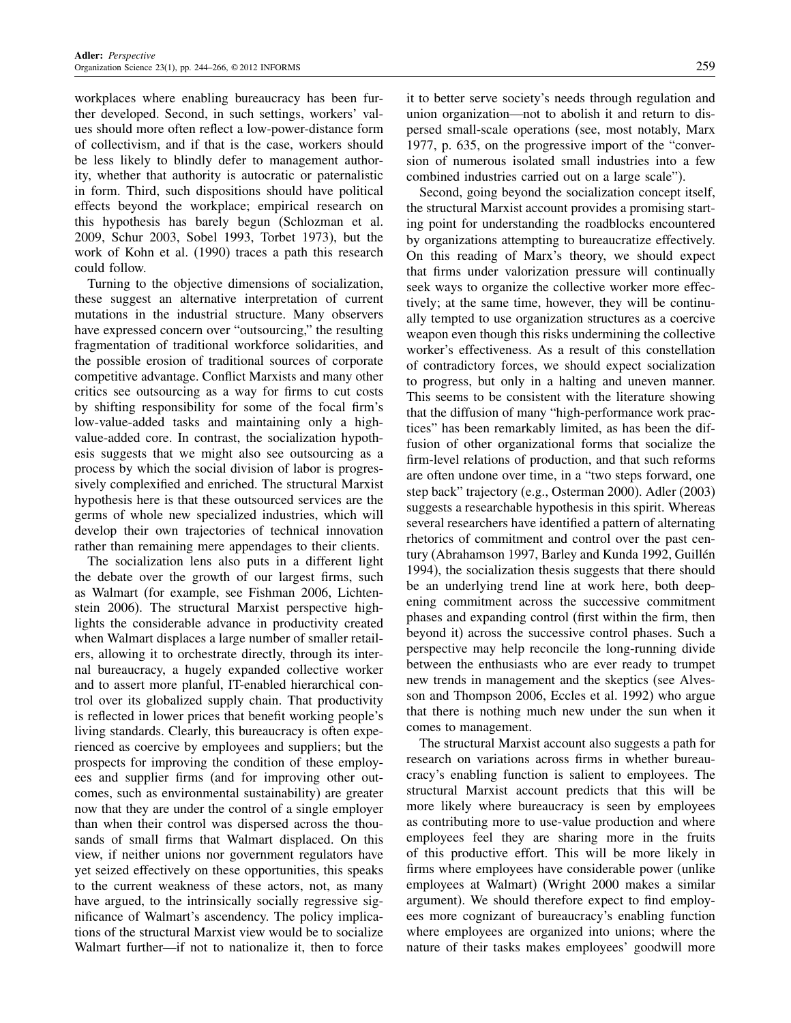workplaces where enabling bureaucracy has been further developed. Second, in such settings, workers' values should more often reflect a low-power-distance form of collectivism, and if that is the case, workers should be less likely to blindly defer to management authority, whether that authority is autocratic or paternalistic in form. Third, such dispositions should have political effects beyond the workplace; empirical research on this hypothesis has barely begun (Schlozman et al. 2009, Schur 2003, Sobel 1993, Torbet 1973), but the work of Kohn et al. (1990) traces a path this research could follow.

Turning to the objective dimensions of socialization, these suggest an alternative interpretation of current mutations in the industrial structure. Many observers have expressed concern over "outsourcing," the resulting fragmentation of traditional workforce solidarities, and the possible erosion of traditional sources of corporate competitive advantage. Conflict Marxists and many other critics see outsourcing as a way for firms to cut costs by shifting responsibility for some of the focal firm's low-value-added tasks and maintaining only a highvalue-added core. In contrast, the socialization hypothesis suggests that we might also see outsourcing as a process by which the social division of labor is progressively complexified and enriched. The structural Marxist hypothesis here is that these outsourced services are the germs of whole new specialized industries, which will develop their own trajectories of technical innovation rather than remaining mere appendages to their clients.

The socialization lens also puts in a different light the debate over the growth of our largest firms, such as Walmart (for example, see Fishman 2006, Lichtenstein 2006). The structural Marxist perspective highlights the considerable advance in productivity created when Walmart displaces a large number of smaller retailers, allowing it to orchestrate directly, through its internal bureaucracy, a hugely expanded collective worker and to assert more planful, IT-enabled hierarchical control over its globalized supply chain. That productivity is reflected in lower prices that benefit working people's living standards. Clearly, this bureaucracy is often experienced as coercive by employees and suppliers; but the prospects for improving the condition of these employees and supplier firms (and for improving other outcomes, such as environmental sustainability) are greater now that they are under the control of a single employer than when their control was dispersed across the thousands of small firms that Walmart displaced. On this view, if neither unions nor government regulators have yet seized effectively on these opportunities, this speaks to the current weakness of these actors, not, as many have argued, to the intrinsically socially regressive significance of Walmart's ascendency. The policy implications of the structural Marxist view would be to socialize Walmart further—if not to nationalize it, then to force

it to better serve society's needs through regulation and union organization—not to abolish it and return to dispersed small-scale operations (see, most notably, Marx 1977, p. 635, on the progressive import of the "conversion of numerous isolated small industries into a few combined industries carried out on a large scale").

Second, going beyond the socialization concept itself, the structural Marxist account provides a promising starting point for understanding the roadblocks encountered by organizations attempting to bureaucratize effectively. On this reading of Marx's theory, we should expect that firms under valorization pressure will continually seek ways to organize the collective worker more effectively; at the same time, however, they will be continually tempted to use organization structures as a coercive weapon even though this risks undermining the collective worker's effectiveness. As a result of this constellation of contradictory forces, we should expect socialization to progress, but only in a halting and uneven manner. This seems to be consistent with the literature showing that the diffusion of many "high-performance work practices" has been remarkably limited, as has been the diffusion of other organizational forms that socialize the firm-level relations of production, and that such reforms are often undone over time, in a "two steps forward, one step back" trajectory (e.g., Osterman 2000). Adler (2003) suggests a researchable hypothesis in this spirit. Whereas several researchers have identified a pattern of alternating rhetorics of commitment and control over the past century (Abrahamson 1997, Barley and Kunda 1992, Guillén 1994), the socialization thesis suggests that there should be an underlying trend line at work here, both deepening commitment across the successive commitment phases and expanding control (first within the firm, then beyond it) across the successive control phases. Such a perspective may help reconcile the long-running divide between the enthusiasts who are ever ready to trumpet new trends in management and the skeptics (see Alvesson and Thompson 2006, Eccles et al. 1992) who argue that there is nothing much new under the sun when it comes to management.

The structural Marxist account also suggests a path for research on variations across firms in whether bureaucracy's enabling function is salient to employees. The structural Marxist account predicts that this will be more likely where bureaucracy is seen by employees as contributing more to use-value production and where employees feel they are sharing more in the fruits of this productive effort. This will be more likely in firms where employees have considerable power (unlike employees at Walmart) (Wright 2000 makes a similar argument). We should therefore expect to find employees more cognizant of bureaucracy's enabling function where employees are organized into unions; where the nature of their tasks makes employees' goodwill more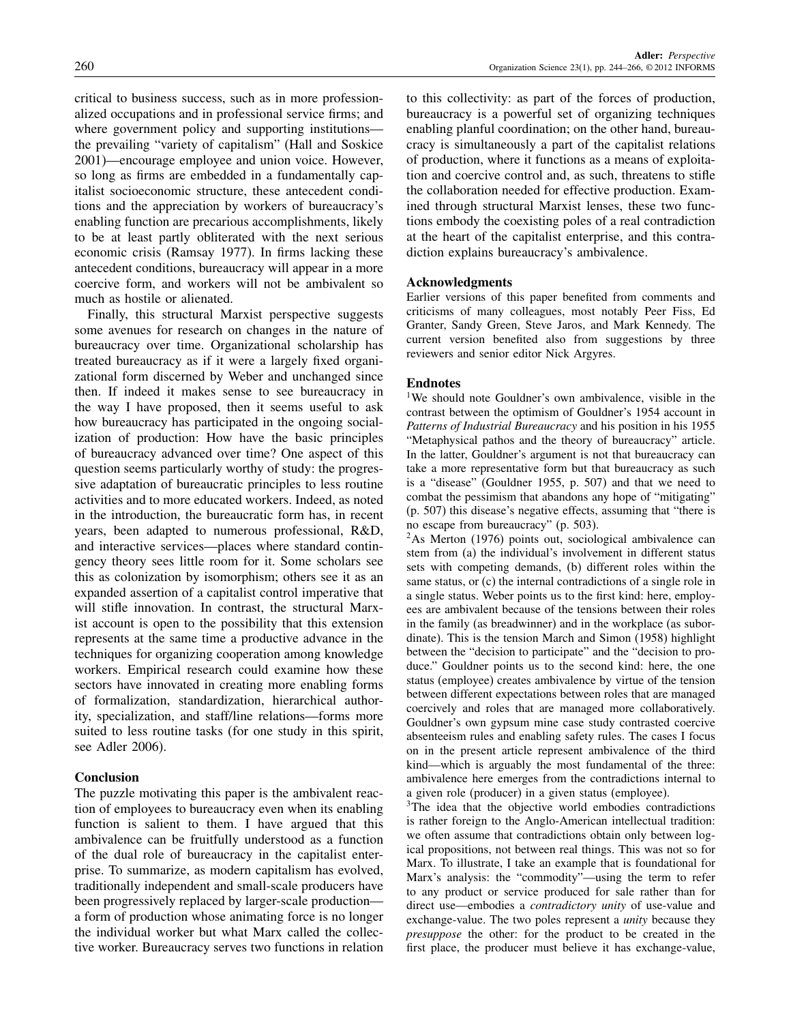critical to business success, such as in more professionalized occupations and in professional service firms; and where government policy and supporting institutions the prevailing "variety of capitalism" (Hall and Soskice 2001)—encourage employee and union voice. However, so long as firms are embedded in a fundamentally capitalist socioeconomic structure, these antecedent conditions and the appreciation by workers of bureaucracy's enabling function are precarious accomplishments, likely to be at least partly obliterated with the next serious economic crisis (Ramsay 1977). In firms lacking these antecedent conditions, bureaucracy will appear in a more coercive form, and workers will not be ambivalent so much as hostile or alienated.

Finally, this structural Marxist perspective suggests some avenues for research on changes in the nature of bureaucracy over time. Organizational scholarship has treated bureaucracy as if it were a largely fixed organizational form discerned by Weber and unchanged since then. If indeed it makes sense to see bureaucracy in the way I have proposed, then it seems useful to ask how bureaucracy has participated in the ongoing socialization of production: How have the basic principles of bureaucracy advanced over time? One aspect of this question seems particularly worthy of study: the progressive adaptation of bureaucratic principles to less routine activities and to more educated workers. Indeed, as noted in the introduction, the bureaucratic form has, in recent years, been adapted to numerous professional, R&D, and interactive services—places where standard contingency theory sees little room for it. Some scholars see this as colonization by isomorphism; others see it as an expanded assertion of a capitalist control imperative that will stifle innovation. In contrast, the structural Marxist account is open to the possibility that this extension represents at the same time a productive advance in the techniques for organizing cooperation among knowledge workers. Empirical research could examine how these sectors have innovated in creating more enabling forms of formalization, standardization, hierarchical authority, specialization, and staff/line relations—forms more suited to less routine tasks (for one study in this spirit, see Adler 2006).

#### Conclusion

The puzzle motivating this paper is the ambivalent reaction of employees to bureaucracy even when its enabling function is salient to them. I have argued that this ambivalence can be fruitfully understood as a function of the dual role of bureaucracy in the capitalist enterprise. To summarize, as modern capitalism has evolved, traditionally independent and small-scale producers have been progressively replaced by larger-scale production a form of production whose animating force is no longer the individual worker but what Marx called the collective worker. Bureaucracy serves two functions in relation to this collectivity: as part of the forces of production, bureaucracy is a powerful set of organizing techniques enabling planful coordination; on the other hand, bureaucracy is simultaneously a part of the capitalist relations of production, where it functions as a means of exploitation and coercive control and, as such, threatens to stifle the collaboration needed for effective production. Examined through structural Marxist lenses, these two functions embody the coexisting poles of a real contradiction at the heart of the capitalist enterprise, and this contradiction explains bureaucracy's ambivalence.

#### Acknowledgments

Earlier versions of this paper benefited from comments and criticisms of many colleagues, most notably Peer Fiss, Ed Granter, Sandy Green, Steve Jaros, and Mark Kennedy. The current version benefited also from suggestions by three reviewers and senior editor Nick Argyres.

#### Endnotes

<sup>1</sup>We should note Gouldner's own ambivalence, visible in the contrast between the optimism of Gouldner's 1954 account in Patterns of Industrial Bureaucracy and his position in his 1955 "Metaphysical pathos and the theory of bureaucracy" article. In the latter, Gouldner's argument is not that bureaucracy can take a more representative form but that bureaucracy as such is a "disease" (Gouldner 1955, p. 507) and that we need to combat the pessimism that abandons any hope of "mitigating" (p. 507) this disease's negative effects, assuming that "there is no escape from bureaucracy" (p. 503).

<sup>2</sup>As Merton (1976) points out, sociological ambivalence can stem from (a) the individual's involvement in different status sets with competing demands, (b) different roles within the same status, or (c) the internal contradictions of a single role in a single status. Weber points us to the first kind: here, employees are ambivalent because of the tensions between their roles in the family (as breadwinner) and in the workplace (as subordinate). This is the tension March and Simon (1958) highlight between the "decision to participate" and the "decision to produce." Gouldner points us to the second kind: here, the one status (employee) creates ambivalence by virtue of the tension between different expectations between roles that are managed coercively and roles that are managed more collaboratively. Gouldner's own gypsum mine case study contrasted coercive absenteeism rules and enabling safety rules. The cases I focus on in the present article represent ambivalence of the third kind—which is arguably the most fundamental of the three: ambivalence here emerges from the contradictions internal to a given role (producer) in a given status (employee).

<sup>3</sup>The idea that the objective world embodies contradictions is rather foreign to the Anglo-American intellectual tradition: we often assume that contradictions obtain only between logical propositions, not between real things. This was not so for Marx. To illustrate, I take an example that is foundational for Marx's analysis: the "commodity"—using the term to refer to any product or service produced for sale rather than for direct use—embodies a *contradictory unity* of use-value and exchange-value. The two poles represent a *unity* because they presuppose the other: for the product to be created in the first place, the producer must believe it has exchange-value,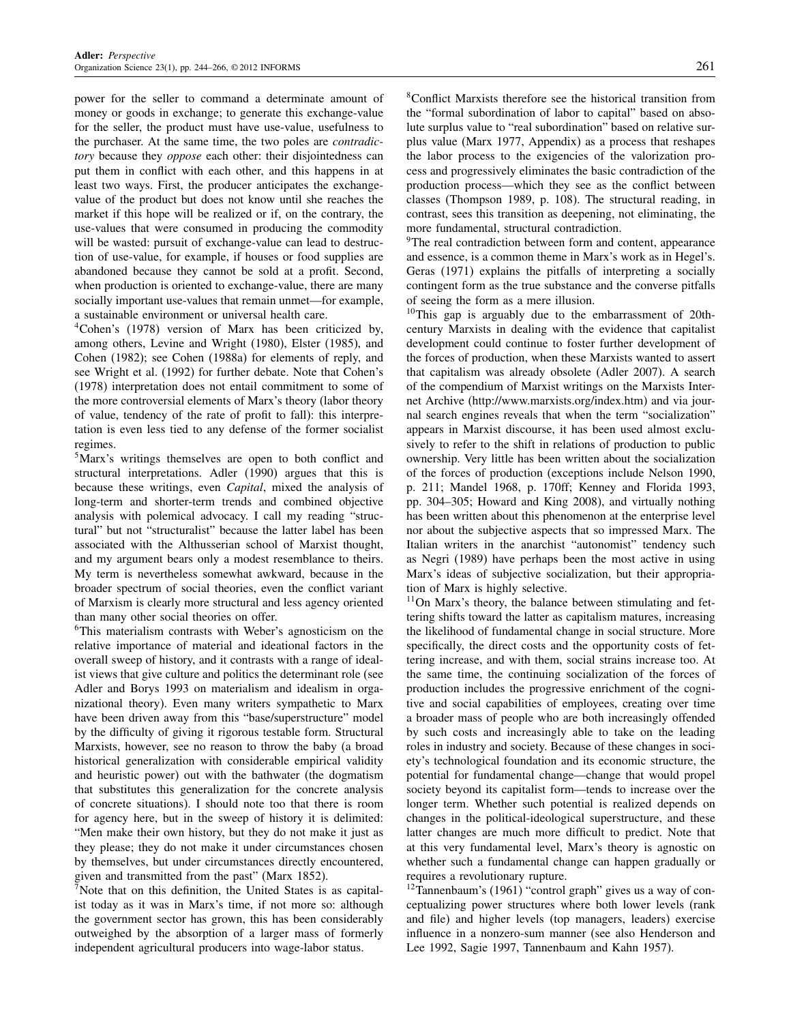power for the seller to command a determinate amount of money or goods in exchange; to generate this exchange-value for the seller, the product must have use-value, usefulness to the purchaser. At the same time, the two poles are contradictory because they *oppose* each other: their disjointedness can put them in conflict with each other, and this happens in at least two ways. First, the producer anticipates the exchangevalue of the product but does not know until she reaches the market if this hope will be realized or if, on the contrary, the use-values that were consumed in producing the commodity will be wasted: pursuit of exchange-value can lead to destruction of use-value, for example, if houses or food supplies are abandoned because they cannot be sold at a profit. Second, when production is oriented to exchange-value, there are many socially important use-values that remain unmet—for example, a sustainable environment or universal health care.

<sup>4</sup>Cohen's (1978) version of Marx has been criticized by, among others, Levine and Wright (1980), Elster (1985), and Cohen (1982); see Cohen (1988a) for elements of reply, and see Wright et al. (1992) for further debate. Note that Cohen's (1978) interpretation does not entail commitment to some of the more controversial elements of Marx's theory (labor theory of value, tendency of the rate of profit to fall): this interpretation is even less tied to any defense of the former socialist regimes.

<sup>5</sup>Marx's writings themselves are open to both conflict and structural interpretations. Adler (1990) argues that this is because these writings, even Capital, mixed the analysis of long-term and shorter-term trends and combined objective analysis with polemical advocacy. I call my reading "structural" but not "structuralist" because the latter label has been associated with the Althusserian school of Marxist thought, and my argument bears only a modest resemblance to theirs. My term is nevertheless somewhat awkward, because in the broader spectrum of social theories, even the conflict variant of Marxism is clearly more structural and less agency oriented than many other social theories on offer.

<sup>6</sup>This materialism contrasts with Weber's agnosticism on the relative importance of material and ideational factors in the overall sweep of history, and it contrasts with a range of idealist views that give culture and politics the determinant role (see Adler and Borys 1993 on materialism and idealism in organizational theory). Even many writers sympathetic to Marx have been driven away from this "base/superstructure" model by the difficulty of giving it rigorous testable form. Structural Marxists, however, see no reason to throw the baby (a broad historical generalization with considerable empirical validity and heuristic power) out with the bathwater (the dogmatism that substitutes this generalization for the concrete analysis of concrete situations). I should note too that there is room for agency here, but in the sweep of history it is delimited: "Men make their own history, but they do not make it just as they please; they do not make it under circumstances chosen by themselves, but under circumstances directly encountered, given and transmitted from the past" (Marx 1852).

<sup>7</sup>Note that on this definition, the United States is as capitalist today as it was in Marx's time, if not more so: although the government sector has grown, this has been considerably outweighed by the absorption of a larger mass of formerly independent agricultural producers into wage-labor status.

<sup>8</sup>Conflict Marxists therefore see the historical transition from the "formal subordination of labor to capital" based on absolute surplus value to "real subordination" based on relative surplus value (Marx 1977, Appendix) as a process that reshapes the labor process to the exigencies of the valorization process and progressively eliminates the basic contradiction of the production process—which they see as the conflict between classes (Thompson 1989, p. 108). The structural reading, in contrast, sees this transition as deepening, not eliminating, the more fundamental, structural contradiction.

<sup>9</sup>The real contradiction between form and content, appearance and essence, is a common theme in Marx's work as in Hegel's. Geras (1971) explains the pitfalls of interpreting a socially contingent form as the true substance and the converse pitfalls of seeing the form as a mere illusion.

<sup>10</sup>This gap is arguably due to the embarrassment of 20thcentury Marxists in dealing with the evidence that capitalist development could continue to foster further development of the forces of production, when these Marxists wanted to assert that capitalism was already obsolete (Adler 2007). A search of the compendium of Marxist writings on the Marxists Internet Archive (http://www.marxists.org/index.htm) and via journal search engines reveals that when the term "socialization" appears in Marxist discourse, it has been used almost exclusively to refer to the shift in relations of production to public ownership. Very little has been written about the socialization of the forces of production (exceptions include Nelson 1990, p. 211; Mandel 1968, p. 170ff; Kenney and Florida 1993, pp. 304–305; Howard and King 2008), and virtually nothing has been written about this phenomenon at the enterprise level nor about the subjective aspects that so impressed Marx. The Italian writers in the anarchist "autonomist" tendency such as Negri (1989) have perhaps been the most active in using Marx's ideas of subjective socialization, but their appropriation of Marx is highly selective.

<sup>11</sup>On Marx's theory, the balance between stimulating and fettering shifts toward the latter as capitalism matures, increasing the likelihood of fundamental change in social structure. More specifically, the direct costs and the opportunity costs of fettering increase, and with them, social strains increase too. At the same time, the continuing socialization of the forces of production includes the progressive enrichment of the cognitive and social capabilities of employees, creating over time a broader mass of people who are both increasingly offended by such costs and increasingly able to take on the leading roles in industry and society. Because of these changes in society's technological foundation and its economic structure, the potential for fundamental change—change that would propel society beyond its capitalist form—tends to increase over the longer term. Whether such potential is realized depends on changes in the political-ideological superstructure, and these latter changes are much more difficult to predict. Note that at this very fundamental level, Marx's theory is agnostic on whether such a fundamental change can happen gradually or requires a revolutionary rupture.

 $12$ Tannenbaum's (1961) "control graph" gives us a way of conceptualizing power structures where both lower levels (rank and file) and higher levels (top managers, leaders) exercise influence in a nonzero-sum manner (see also Henderson and Lee 1992, Sagie 1997, Tannenbaum and Kahn 1957).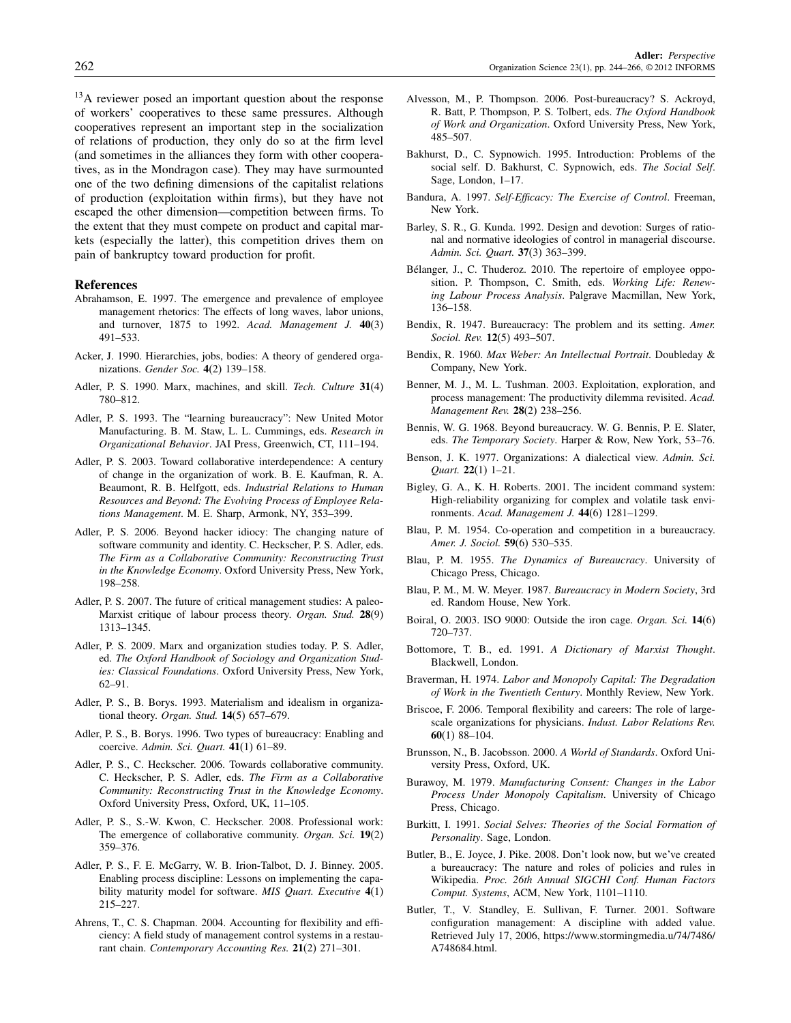<sup>13</sup>A reviewer posed an important question about the response of workers' cooperatives to these same pressures. Although cooperatives represent an important step in the socialization of relations of production, they only do so at the firm level (and sometimes in the alliances they form with other cooperatives, as in the Mondragon case). They may have surmounted one of the two defining dimensions of the capitalist relations of production (exploitation within firms), but they have not escaped the other dimension—competition between firms. To the extent that they must compete on product and capital markets (especially the latter), this competition drives them on pain of bankruptcy toward production for profit.

#### References

- Abrahamson, E. 1997. The emergence and prevalence of employee management rhetorics: The effects of long waves, labor unions, and turnover, 1875 to 1992. Acad. Management J. 40(3) 491–533.
- Acker, J. 1990. Hierarchies, jobs, bodies: A theory of gendered organizations. Gender Soc. 4(2) 139–158.
- Adler, P. S. 1990. Marx, machines, and skill. Tech. Culture 31(4) 780–812.
- Adler, P. S. 1993. The "learning bureaucracy": New United Motor Manufacturing. B. M. Staw, L. L. Cummings, eds. Research in Organizational Behavior. JAI Press, Greenwich, CT, 111–194.
- Adler, P. S. 2003. Toward collaborative interdependence: A century of change in the organization of work. B. E. Kaufman, R. A. Beaumont, R. B. Helfgott, eds. Industrial Relations to Human Resources and Beyond: The Evolving Process of Employee Relations Management. M. E. Sharp, Armonk, NY, 353–399.
- Adler, P. S. 2006. Beyond hacker idiocy: The changing nature of software community and identity. C. Heckscher, P. S. Adler, eds. The Firm as a Collaborative Community: Reconstructing Trust in the Knowledge Economy. Oxford University Press, New York, 198–258.
- Adler, P. S. 2007. The future of critical management studies: A paleo-Marxist critique of labour process theory. Organ. Stud. 28(9) 1313–1345.
- Adler, P. S. 2009. Marx and organization studies today. P. S. Adler, ed. The Oxford Handbook of Sociology and Organization Studies: Classical Foundations. Oxford University Press, New York, 62–91.
- Adler, P. S., B. Borys. 1993. Materialism and idealism in organizational theory. Organ. Stud. 14(5) 657-679.
- Adler, P. S., B. Borys. 1996. Two types of bureaucracy: Enabling and coercive. Admin. Sci. Quart. 41(1) 61-89.
- Adler, P. S., C. Heckscher. 2006. Towards collaborative community. C. Heckscher, P. S. Adler, eds. The Firm as a Collaborative Community: Reconstructing Trust in the Knowledge Economy. Oxford University Press, Oxford, UK, 11–105.
- Adler, P. S., S.-W. Kwon, C. Heckscher. 2008. Professional work: The emergence of collaborative community. Organ. Sci. 19(2) 359–376.
- Adler, P. S., F. E. McGarry, W. B. Irion-Talbot, D. J. Binney. 2005. Enabling process discipline: Lessons on implementing the capability maturity model for software. MIS Quart. Executive 4(1) 215–227.
- Ahrens, T., C. S. Chapman. 2004. Accounting for flexibility and efficiency: A field study of management control systems in a restaurant chain. Contemporary Accounting Res. 21(2) 271–301.
- Alvesson, M., P. Thompson. 2006. Post-bureaucracy? S. Ackroyd, R. Batt, P. Thompson, P. S. Tolbert, eds. The Oxford Handbook of Work and Organization. Oxford University Press, New York, 485–507.
- Bakhurst, D., C. Sypnowich. 1995. Introduction: Problems of the social self. D. Bakhurst, C. Sypnowich, eds. The Social Self. Sage, London, 1–17.
- Bandura, A. 1997. Self-Efficacy: The Exercise of Control. Freeman, New York.
- Barley, S. R., G. Kunda. 1992. Design and devotion: Surges of rational and normative ideologies of control in managerial discourse. Admin. Sci. Quart. 37(3) 363–399.
- Bélanger, J., C. Thuderoz. 2010. The repertoire of employee opposition. P. Thompson, C. Smith, eds. Working Life: Renewing Labour Process Analysis. Palgrave Macmillan, New York, 136–158.
- Bendix, R. 1947. Bureaucracy: The problem and its setting. Amer. Sociol. Rev. **12**(5) 493-507.
- Bendix, R. 1960. Max Weber: An Intellectual Portrait. Doubleday & Company, New York.
- Benner, M. J., M. L. Tushman. 2003. Exploitation, exploration, and process management: The productivity dilemma revisited. Acad. Management Rev. 28(2) 238–256.
- Bennis, W. G. 1968. Beyond bureaucracy. W. G. Bennis, P. E. Slater, eds. The Temporary Society. Harper & Row, New York, 53–76.
- Benson, J. K. 1977. Organizations: A dialectical view. Admin. Sci. Quart. 22(1) 1–21.
- Bigley, G. A., K. H. Roberts. 2001. The incident command system: High-reliability organizing for complex and volatile task environments. Acad. Management J. 44(6) 1281–1299.
- Blau, P. M. 1954. Co-operation and competition in a bureaucracy. Amer. J. Sociol. 59(6) 530–535.
- Blau, P. M. 1955. The Dynamics of Bureaucracy. University of Chicago Press, Chicago.
- Blau, P. M., M. W. Meyer. 1987. Bureaucracy in Modern Society, 3rd ed. Random House, New York.
- Boiral, O. 2003. ISO 9000: Outside the iron cage. Organ. Sci. 14(6) 720–737.
- Bottomore, T. B., ed. 1991. A Dictionary of Marxist Thought. Blackwell, London.
- Braverman, H. 1974. Labor and Monopoly Capital: The Degradation of Work in the Twentieth Century. Monthly Review, New York.
- Briscoe, F. 2006. Temporal flexibility and careers: The role of largescale organizations for physicians. Indust. Labor Relations Rev. 60(1) 88–104.
- Brunsson, N., B. Jacobsson. 2000. A World of Standards. Oxford University Press, Oxford, UK.
- Burawoy, M. 1979. Manufacturing Consent: Changes in the Labor Process Under Monopoly Capitalism. University of Chicago Press, Chicago.
- Burkitt, I. 1991. Social Selves: Theories of the Social Formation of Personality. Sage, London.
- Butler, B., E. Joyce, J. Pike. 2008. Don't look now, but we've created a bureaucracy: The nature and roles of policies and rules in Wikipedia. Proc. 26th Annual SIGCHI Conf. Human Factors Comput. Systems, ACM, New York, 1101–1110.
- Butler, T., V. Standley, E. Sullivan, F. Turner. 2001. Software configuration management: A discipline with added value. Retrieved July 17, 2006, https://www.stormingmedia.u/74/7486/ A748684.html.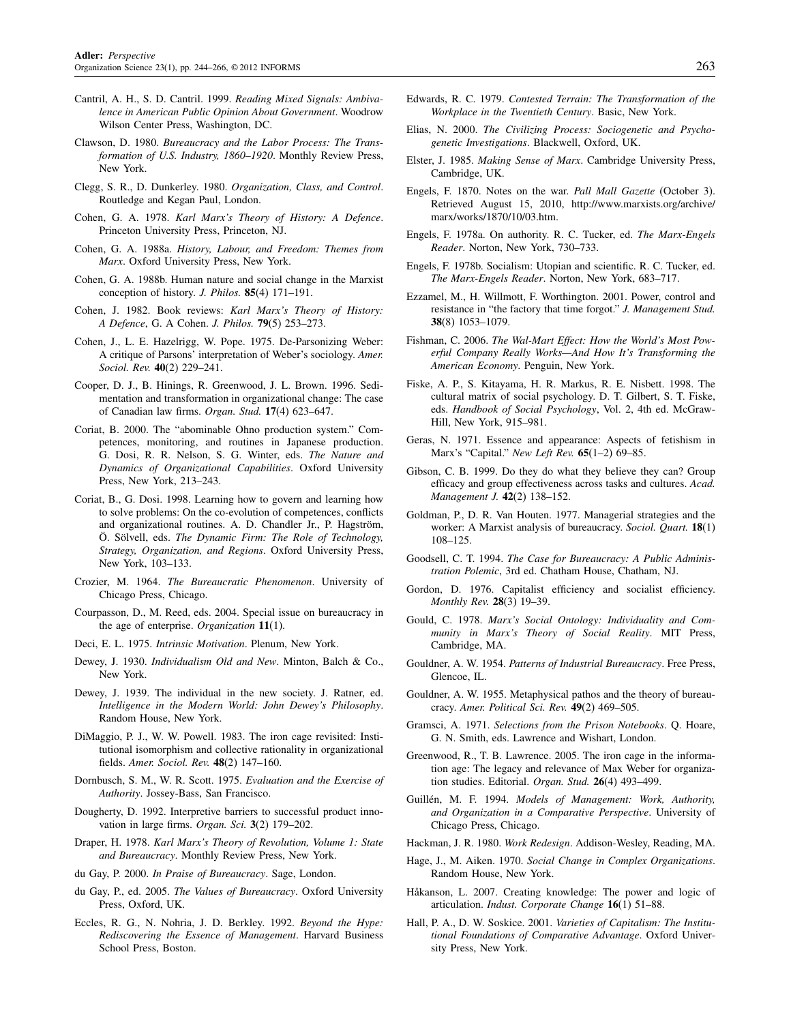- Cantril, A. H., S. D. Cantril. 1999. Reading Mixed Signals: Ambivalence in American Public Opinion About Government. Woodrow Wilson Center Press, Washington, DC.
- Clawson, D. 1980. Bureaucracy and the Labor Process: The Transformation of U.S. Industry, 1860–1920. Monthly Review Press, New York.
- Clegg, S. R., D. Dunkerley. 1980. Organization, Class, and Control. Routledge and Kegan Paul, London.
- Cohen, G. A. 1978. Karl Marx's Theory of History: A Defence. Princeton University Press, Princeton, NJ.
- Cohen, G. A. 1988a. History, Labour, and Freedom: Themes from Marx. Oxford University Press, New York.
- Cohen, G. A. 1988b. Human nature and social change in the Marxist conception of history. J. Philos. 85(4) 171–191.
- Cohen, J. 1982. Book reviews: Karl Marx's Theory of History: A Defence, G. A Cohen. J. Philos. 79(5) 253–273.
- Cohen, J., L. E. Hazelrigg, W. Pope. 1975. De-Parsonizing Weber: A critique of Parsons' interpretation of Weber's sociology. Amer. Sociol. Rev. **40**(2) 229-241.
- Cooper, D. J., B. Hinings, R. Greenwood, J. L. Brown. 1996. Sedimentation and transformation in organizational change: The case of Canadian law firms. Organ. Stud. 17(4) 623–647.
- Coriat, B. 2000. The "abominable Ohno production system." Competences, monitoring, and routines in Japanese production. G. Dosi, R. R. Nelson, S. G. Winter, eds. The Nature and Dynamics of Organizational Capabilities. Oxford University Press, New York, 213–243.
- Coriat, B., G. Dosi. 1998. Learning how to govern and learning how to solve problems: On the co-evolution of competences, conflicts and organizational routines. A. D. Chandler Jr., P. Hagström, Ö. Sölvell, eds. The Dynamic Firm: The Role of Technology, Strategy, Organization, and Regions. Oxford University Press, New York, 103–133.
- Crozier, M. 1964. The Bureaucratic Phenomenon. University of Chicago Press, Chicago.
- Courpasson, D., M. Reed, eds. 2004. Special issue on bureaucracy in the age of enterprise. Organization  $11(1)$ .
- Deci, E. L. 1975. Intrinsic Motivation. Plenum, New York.
- Dewey, J. 1930. Individualism Old and New. Minton, Balch & Co., New York.
- Dewey, J. 1939. The individual in the new society. J. Ratner, ed. Intelligence in the Modern World: John Dewey's Philosophy. Random House, New York.
- DiMaggio, P. J., W. W. Powell. 1983. The iron cage revisited: Institutional isomorphism and collective rationality in organizational fields. Amer. Sociol. Rev. 48(2) 147–160.
- Dornbusch, S. M., W. R. Scott. 1975. Evaluation and the Exercise of Authority. Jossey-Bass, San Francisco.
- Dougherty, D. 1992. Interpretive barriers to successful product innovation in large firms. Organ. Sci. 3(2) 179-202.
- Draper, H. 1978. Karl Marx's Theory of Revolution, Volume 1: State and Bureaucracy. Monthly Review Press, New York.
- du Gay, P. 2000. In Praise of Bureaucracy. Sage, London.
- du Gay, P., ed. 2005. The Values of Bureaucracy. Oxford University Press, Oxford, UK.
- Eccles, R. G., N. Nohria, J. D. Berkley. 1992. Beyond the Hype: Rediscovering the Essence of Management. Harvard Business School Press, Boston.
- Edwards, R. C. 1979. Contested Terrain: The Transformation of the Workplace in the Twentieth Century. Basic, New York.
- Elias, N. 2000. The Civilizing Process: Sociogenetic and Psychogenetic Investigations. Blackwell, Oxford, UK.
- Elster, J. 1985. Making Sense of Marx. Cambridge University Press, Cambridge, UK.
- Engels, F. 1870. Notes on the war. Pall Mall Gazette (October 3). Retrieved August 15, 2010, http://www.marxists.org/archive/ marx/works/1870/10/03.htm.
- Engels, F. 1978a. On authority. R. C. Tucker, ed. The Marx-Engels Reader. Norton, New York, 730–733.
- Engels, F. 1978b. Socialism: Utopian and scientific. R. C. Tucker, ed. The Marx-Engels Reader. Norton, New York, 683–717.
- Ezzamel, M., H. Willmott, F. Worthington. 2001. Power, control and resistance in "the factory that time forgot." J. Management Stud. 38(8) 1053–1079.
- Fishman, C. 2006. The Wal-Mart Effect: How the World's Most Powerful Company Really Works—And How It's Transforming the American Economy. Penguin, New York.
- Fiske, A. P., S. Kitayama, H. R. Markus, R. E. Nisbett. 1998. The cultural matrix of social psychology. D. T. Gilbert, S. T. Fiske, eds. Handbook of Social Psychology, Vol. 2, 4th ed. McGraw-Hill, New York, 915–981.
- Geras, N. 1971. Essence and appearance: Aspects of fetishism in Marx's "Capital." New Left Rev. 65(1–2) 69–85.
- Gibson, C. B. 1999. Do they do what they believe they can? Group efficacy and group effectiveness across tasks and cultures. Acad. Management J. 42(2) 138–152.
- Goldman, P., D. R. Van Houten. 1977. Managerial strategies and the worker: A Marxist analysis of bureaucracy. Sociol. Quart. 18(1) 108–125.
- Goodsell, C. T. 1994. The Case for Bureaucracy: A Public Administration Polemic, 3rd ed. Chatham House, Chatham, NJ.
- Gordon, D. 1976. Capitalist efficiency and socialist efficiency. Monthly Rev. 28(3) 19–39.
- Gould, C. 1978. Marx's Social Ontology: Individuality and Community in Marx's Theory of Social Reality. MIT Press, Cambridge, MA.
- Gouldner, A. W. 1954. Patterns of Industrial Bureaucracy. Free Press, Glencoe, IL.
- Gouldner, A. W. 1955. Metaphysical pathos and the theory of bureaucracy. Amer. Political Sci. Rev. 49(2) 469–505.
- Gramsci, A. 1971. Selections from the Prison Notebooks. Q. Hoare, G. N. Smith, eds. Lawrence and Wishart, London.
- Greenwood, R., T. B. Lawrence. 2005. The iron cage in the information age: The legacy and relevance of Max Weber for organization studies. Editorial. Organ. Stud. 26(4) 493–499.
- Guillén, M. F. 1994. Models of Management: Work, Authority, and Organization in a Comparative Perspective. University of Chicago Press, Chicago.
- Hackman, J. R. 1980. Work Redesign. Addison-Wesley, Reading, MA.
- Hage, J., M. Aiken. 1970. Social Change in Complex Organizations. Random House, New York.
- Håkanson, L. 2007. Creating knowledge: The power and logic of articulation. Indust. Corporate Change 16(1) 51–88.
- Hall, P. A., D. W. Soskice. 2001. Varieties of Capitalism: The Institutional Foundations of Comparative Advantage. Oxford University Press, New York.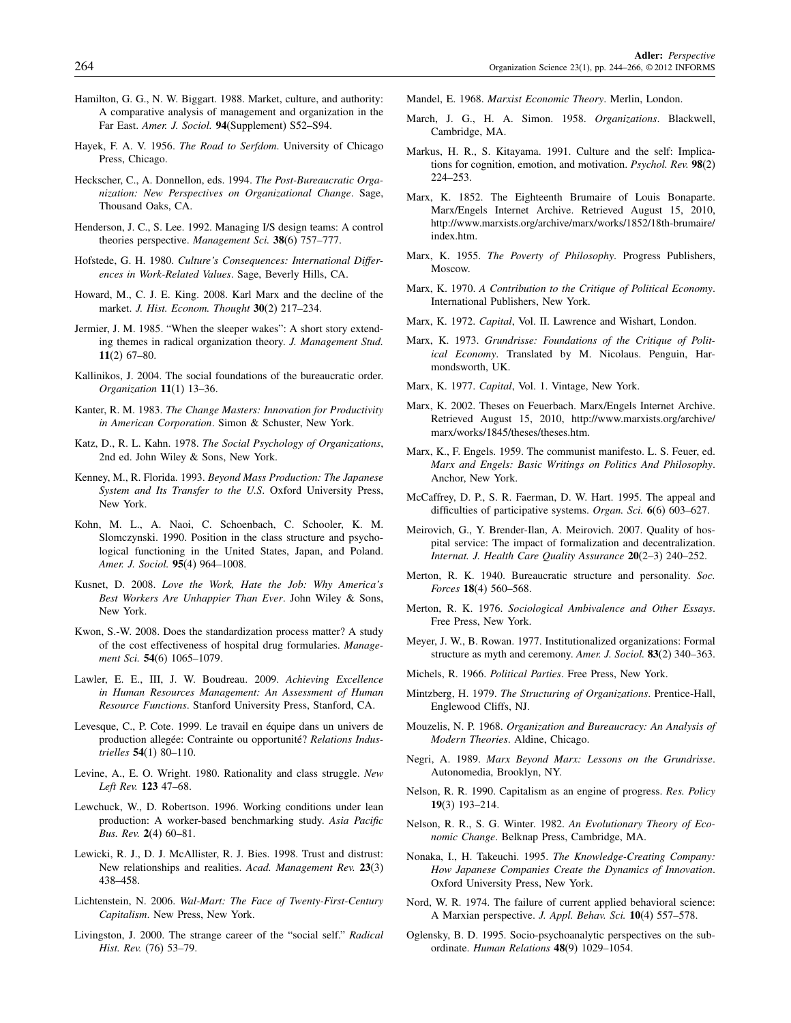- Hamilton, G. G., N. W. Biggart. 1988. Market, culture, and authority: A comparative analysis of management and organization in the Far East. Amer. J. Sociol. 94(Supplement) S52–S94.
- Hayek, F. A. V. 1956. The Road to Serfdom. University of Chicago Press, Chicago.
- Heckscher, C., A. Donnellon, eds. 1994. The Post-Bureaucratic Organization: New Perspectives on Organizational Change. Sage, Thousand Oaks, CA.
- Henderson, J. C., S. Lee. 1992. Managing I/S design teams: A control theories perspective. Management Sci. 38(6) 757-777.
- Hofstede, G. H. 1980. Culture's Consequences: International Differences in Work-Related Values. Sage, Beverly Hills, CA.
- Howard, M., C. J. E. King. 2008. Karl Marx and the decline of the market. J. Hist. Econom. Thought 30(2) 217–234.
- Jermier, J. M. 1985. "When the sleeper wakes": A short story extending themes in radical organization theory. J. Management Stud. 11(2) 67–80.
- Kallinikos, J. 2004. The social foundations of the bureaucratic order. Organization 11(1) 13–36.
- Kanter, R. M. 1983. The Change Masters: Innovation for Productivity in American Corporation. Simon & Schuster, New York.
- Katz, D., R. L. Kahn. 1978. The Social Psychology of Organizations, 2nd ed. John Wiley & Sons, New York.
- Kenney, M., R. Florida. 1993. Beyond Mass Production: The Japanese System and Its Transfer to the U.S. Oxford University Press, New York.
- Kohn, M. L., A. Naoi, C. Schoenbach, C. Schooler, K. M. Slomczynski. 1990. Position in the class structure and psychological functioning in the United States, Japan, and Poland. Amer. J. Sociol. 95(4) 964–1008.
- Kusnet, D. 2008. Love the Work, Hate the Job: Why America's Best Workers Are Unhappier Than Ever. John Wiley & Sons, New York.
- Kwon, S.-W. 2008. Does the standardization process matter? A study of the cost effectiveness of hospital drug formularies. Management Sci. **54**(6) 1065-1079.
- Lawler, E. E., III, J. W. Boudreau. 2009. Achieving Excellence in Human Resources Management: An Assessment of Human Resource Functions. Stanford University Press, Stanford, CA.
- Levesque, C., P. Cote. 1999. Le travail en équipe dans un univers de production allegée: Contrainte ou opportunité? Relations Industrielles 54(1) 80–110.
- Levine, A., E. O. Wright. 1980. Rationality and class struggle. New Left Rev. 123 47–68.
- Lewchuck, W., D. Robertson. 1996. Working conditions under lean production: A worker-based benchmarking study. Asia Pacific Bus. Rev. 2(4) 60–81.
- Lewicki, R. J., D. J. McAllister, R. J. Bies. 1998. Trust and distrust: New relationships and realities. Acad. Management Rev. 23(3) 438–458.
- Lichtenstein, N. 2006. Wal-Mart: The Face of Twenty-First-Century Capitalism. New Press, New York.
- Livingston, J. 2000. The strange career of the "social self." Radical Hist. Rev. (76) 53–79.
- Mandel, E. 1968. Marxist Economic Theory. Merlin, London.
- March, J. G., H. A. Simon. 1958. Organizations. Blackwell, Cambridge, MA.
- Markus, H. R., S. Kitayama. 1991. Culture and the self: Implications for cognition, emotion, and motivation. Psychol. Rev. 98(2) 224–253.
- Marx, K. 1852. The Eighteenth Brumaire of Louis Bonaparte. Marx/Engels Internet Archive. Retrieved August 15, 2010, http://www.marxists.org/archive/marx/works/1852/18th-brumaire/ index.htm.
- Marx, K. 1955. The Poverty of Philosophy. Progress Publishers, Moscow.
- Marx, K. 1970. A Contribution to the Critique of Political Economy. International Publishers, New York.
- Marx, K. 1972. Capital, Vol. II. Lawrence and Wishart, London.
- Marx, K. 1973. Grundrisse: Foundations of the Critique of Political Economy. Translated by M. Nicolaus. Penguin, Harmondsworth, UK.
- Marx, K. 1977. Capital, Vol. 1. Vintage, New York.
- Marx, K. 2002. Theses on Feuerbach. Marx/Engels Internet Archive. Retrieved August 15, 2010, http://www.marxists.org/archive/ marx/works/1845/theses/theses.htm.
- Marx, K., F. Engels. 1959. The communist manifesto. L. S. Feuer, ed. Marx and Engels: Basic Writings on Politics And Philosophy. Anchor, New York.
- McCaffrey, D. P., S. R. Faerman, D. W. Hart. 1995. The appeal and difficulties of participative systems. Organ. Sci. 6(6) 603-627.
- Meirovich, G., Y. Brender-Ilan, A. Meirovich. 2007. Quality of hospital service: The impact of formalization and decentralization. Internat. J. Health Care Quality Assurance 20(2–3) 240–252.
- Merton, R. K. 1940. Bureaucratic structure and personality. Soc. Forces 18(4) 560–568.
- Merton, R. K. 1976. Sociological Ambivalence and Other Essays. Free Press, New York.
- Meyer, J. W., B. Rowan. 1977. Institutionalized organizations: Formal structure as myth and ceremony. Amer. J. Sociol. 83(2) 340–363.
- Michels, R. 1966. Political Parties. Free Press, New York.
- Mintzberg, H. 1979. The Structuring of Organizations. Prentice-Hall, Englewood Cliffs, NJ.
- Mouzelis, N. P. 1968. Organization and Bureaucracy: An Analysis of Modern Theories. Aldine, Chicago.
- Negri, A. 1989. Marx Beyond Marx: Lessons on the Grundrisse. Autonomedia, Brooklyn, NY.
- Nelson, R. R. 1990. Capitalism as an engine of progress. Res. Policy 19(3) 193–214.
- Nelson, R. R., S. G. Winter. 1982. An Evolutionary Theory of Economic Change. Belknap Press, Cambridge, MA.
- Nonaka, I., H. Takeuchi. 1995. The Knowledge-Creating Company: How Japanese Companies Create the Dynamics of Innovation. Oxford University Press, New York.
- Nord, W. R. 1974. The failure of current applied behavioral science: A Marxian perspective. J. Appl. Behav. Sci. 10(4) 557–578.
- Oglensky, B. D. 1995. Socio-psychoanalytic perspectives on the subordinate. Human Relations 48(9) 1029–1054.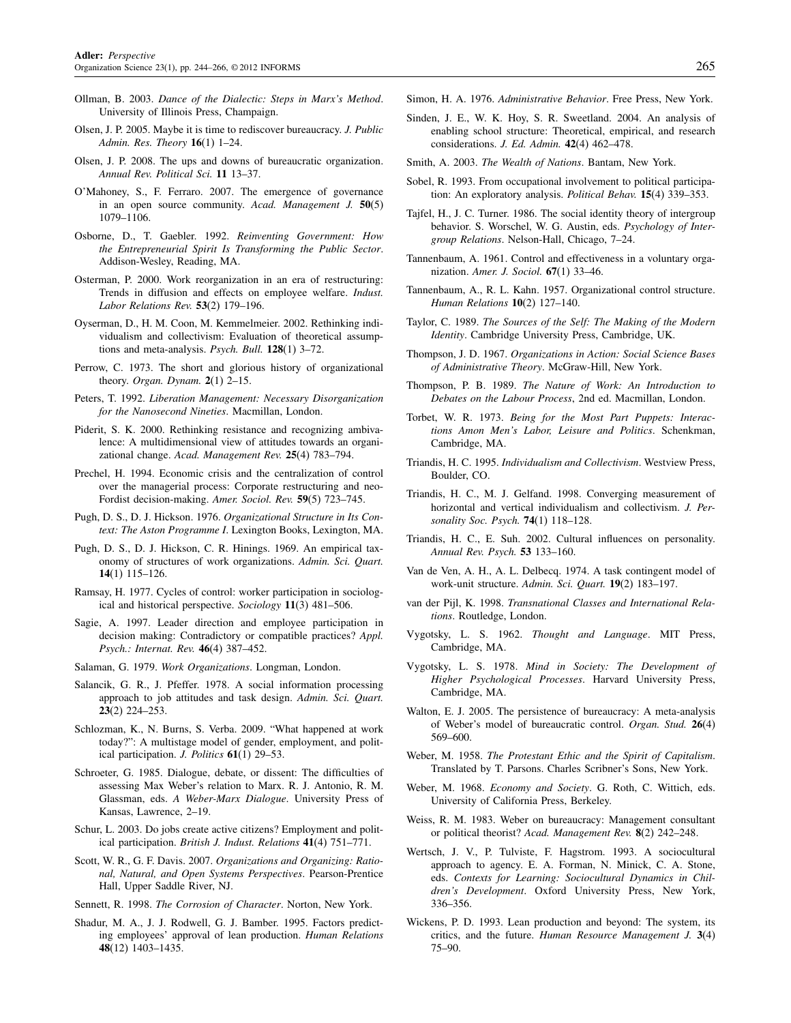- Ollman, B. 2003. Dance of the Dialectic: Steps in Marx's Method. University of Illinois Press, Champaign.
- Olsen, J. P. 2005. Maybe it is time to rediscover bureaucracy. J. Public Admin. Res. Theory 16(1) 1–24.
- Olsen, J. P. 2008. The ups and downs of bureaucratic organization. Annual Rev. Political Sci. 11 13–37.
- O'Mahoney, S., F. Ferraro. 2007. The emergence of governance in an open source community. Acad. Management J. 50(5) 1079–1106.
- Osborne, D., T. Gaebler. 1992. Reinventing Government: How the Entrepreneurial Spirit Is Transforming the Public Sector. Addison-Wesley, Reading, MA.
- Osterman, P. 2000. Work reorganization in an era of restructuring: Trends in diffusion and effects on employee welfare. Indust. Labor Relations Rev. 53(2) 179–196.
- Oyserman, D., H. M. Coon, M. Kemmelmeier. 2002. Rethinking individualism and collectivism: Evaluation of theoretical assumptions and meta-analysis. Psych. Bull. 128(1) 3–72.
- Perrow, C. 1973. The short and glorious history of organizational theory. Organ. Dynam.  $2(1)$  2–15.
- Peters, T. 1992. Liberation Management: Necessary Disorganization for the Nanosecond Nineties. Macmillan, London.
- Piderit, S. K. 2000. Rethinking resistance and recognizing ambivalence: A multidimensional view of attitudes towards an organizational change. Acad. Management Rev. 25(4) 783–794.
- Prechel, H. 1994. Economic crisis and the centralization of control over the managerial process: Corporate restructuring and neo-Fordist decision-making. Amer. Sociol. Rev. 59(5) 723–745.
- Pugh, D. S., D. J. Hickson. 1976. Organizational Structure in Its Context: The Aston Programme I. Lexington Books, Lexington, MA.
- Pugh, D. S., D. J. Hickson, C. R. Hinings. 1969. An empirical taxonomy of structures of work organizations. Admin. Sci. Quart. 14(1) 115–126.
- Ramsay, H. 1977. Cycles of control: worker participation in sociological and historical perspective. Sociology 11(3) 481–506.
- Sagie, A. 1997. Leader direction and employee participation in decision making: Contradictory or compatible practices? Appl. Psych.: Internat. Rev. 46(4) 387–452.
- Salaman, G. 1979. Work Organizations. Longman, London.
- Salancik, G. R., J. Pfeffer. 1978. A social information processing approach to job attitudes and task design. Admin. Sci. Quart. 23(2) 224–253.
- Schlozman, K., N. Burns, S. Verba. 2009. "What happened at work today?": A multistage model of gender, employment, and political participation. *J. Politics*  $61(1)$  29–53.
- Schroeter, G. 1985. Dialogue, debate, or dissent: The difficulties of assessing Max Weber's relation to Marx. R. J. Antonio, R. M. Glassman, eds. A Weber-Marx Dialogue. University Press of Kansas, Lawrence, 2–19.
- Schur, L. 2003. Do jobs create active citizens? Employment and political participation. British J. Indust. Relations 41(4) 751–771.
- Scott, W. R., G. F. Davis. 2007. Organizations and Organizing: Rational, Natural, and Open Systems Perspectives. Pearson-Prentice Hall, Upper Saddle River, NJ.
- Sennett, R. 1998. The Corrosion of Character. Norton, New York.
- Shadur, M. A., J. J. Rodwell, G. J. Bamber. 1995. Factors predicting employees' approval of lean production. Human Relations 48(12) 1403–1435.
- Sinden, J. E., W. K. Hoy, S. R. Sweetland. 2004. An analysis of enabling school structure: Theoretical, empirical, and research considerations. J. Ed. Admin. 42(4) 462–478.
- Smith, A. 2003. The Wealth of Nations. Bantam, New York.
- Sobel, R. 1993. From occupational involvement to political participation: An exploratory analysis. Political Behav. 15(4) 339–353.
- Tajfel, H., J. C. Turner. 1986. The social identity theory of intergroup behavior. S. Worschel, W. G. Austin, eds. Psychology of Intergroup Relations. Nelson-Hall, Chicago, 7–24.
- Tannenbaum, A. 1961. Control and effectiveness in a voluntary organization. Amer. J. Sociol. 67(1) 33–46.
- Tannenbaum, A., R. L. Kahn. 1957. Organizational control structure. Human Relations 10(2) 127–140.
- Taylor, C. 1989. The Sources of the Self: The Making of the Modern Identity. Cambridge University Press, Cambridge, UK.
- Thompson, J. D. 1967. Organizations in Action: Social Science Bases of Administrative Theory. McGraw-Hill, New York.
- Thompson, P. B. 1989. The Nature of Work: An Introduction to Debates on the Labour Process, 2nd ed. Macmillan, London.
- Torbet, W. R. 1973. Being for the Most Part Puppets: Interactions Amon Men's Labor, Leisure and Politics. Schenkman, Cambridge, MA.
- Triandis, H. C. 1995. Individualism and Collectivism. Westview Press, Boulder, CO.
- Triandis, H. C., M. J. Gelfand. 1998. Converging measurement of horizontal and vertical individualism and collectivism. J. Personality Soc. Psych. **74**(1) 118-128.
- Triandis, H. C., E. Suh. 2002. Cultural influences on personality. Annual Rev. Psych. 53 133–160.
- Van de Ven, A. H., A. L. Delbecq. 1974. A task contingent model of work-unit structure. Admin. Sci. Quart. 19(2) 183–197.
- van der Pijl, K. 1998. Transnational Classes and International Relations. Routledge, London.
- Vygotsky, L. S. 1962. Thought and Language. MIT Press, Cambridge, MA.
- Vygotsky, L. S. 1978. Mind in Society: The Development of Higher Psychological Processes. Harvard University Press, Cambridge, MA.
- Walton, E. J. 2005. The persistence of bureaucracy: A meta-analysis of Weber's model of bureaucratic control. Organ. Stud. 26(4) 569–600.
- Weber, M. 1958. The Protestant Ethic and the Spirit of Capitalism. Translated by T. Parsons. Charles Scribner's Sons, New York.
- Weber, M. 1968. Economy and Society. G. Roth, C. Wittich, eds. University of California Press, Berkeley.
- Weiss, R. M. 1983. Weber on bureaucracy: Management consultant or political theorist? Acad. Management Rev. 8(2) 242–248.
- Wertsch, J. V., P. Tulviste, F. Hagstrom. 1993. A sociocultural approach to agency. E. A. Forman, N. Minick, C. A. Stone, eds. Contexts for Learning: Sociocultural Dynamics in Children's Development. Oxford University Press, New York, 336–356.
- Wickens, P. D. 1993. Lean production and beyond: The system, its critics, and the future. Human Resource Management J. 3(4) 75–90.